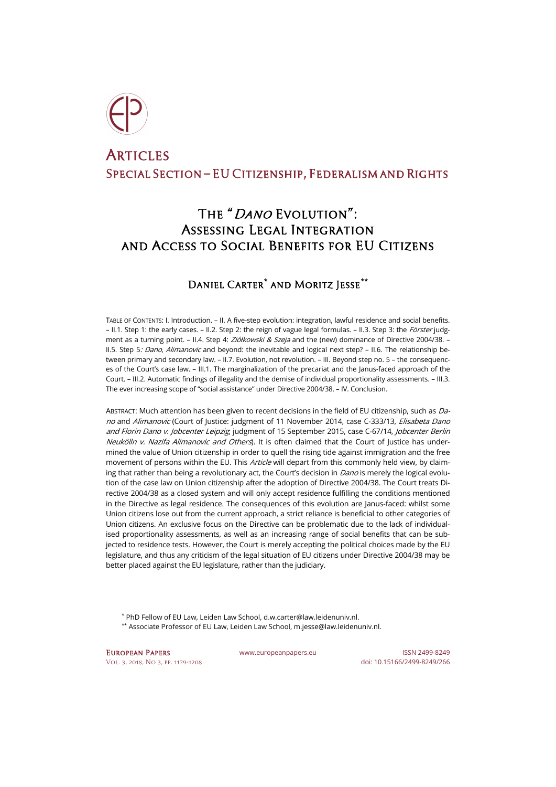

# **ARTICLES** Special Section – EU Citizenship, Federalism and Rights

## THE "DANO EVOLUTION": Assessing Legal Integration and Access to Social Benefits for EU Citizens

## Daniel Carter**[\\*](#page-0-0)** and Moritz Jesse**[\\*\\*](#page-0-1)**

TABLE OF CONTENTS: I. Introduction. – II. A five-step evolution: integration, lawful residence and social benefits. – II.1. Step 1: the early cases. – II.2. Step 2: the reign of vague legal formulas. – II.3. Step 3: the Förster judgment as a turning point. – II.4. Step 4: Ziółkowski & Szeja and the (new) dominance of Directive 2004/38. – II.5. Step 5: Dano, Alimanovic and beyond: the inevitable and logical next step? - II.6. The relationship between primary and secondary law. – II.7. Evolution, not revolution. – III. Beyond step no. 5 – the consequences of the Court's case law. – III.1. The marginalization of the precariat and the Janus-faced approach of the Court. – III.2. Automatic findings of illegality and the demise of individual proportionality assessments. – III.3. The ever increasing scope of "social assistance" under Directive 2004/38. – IV. Conclusion.

ABSTRACT: Much attention has been given to recent decisions in the field of EU citizenship, such as Dano and Alimanovic (Court of Justice: judgment of 11 November 2014, case C-333/13, Elisabeta Dano and Florin Dano v. Jobcenter Leipzig; judgment of 15 September 2015, case C-67/14, Jobcenter Berlin Neukölln v. Nazifa Alimanovic and Others). It is often claimed that the Court of Justice has undermined the value of Union citizenship in order to quell the rising tide against immigration and the free movement of persons within the EU. This Article will depart from this commonly held view, by claiming that rather than being a revolutionary act, the Court's decision in Dano is merely the logical evolution of the case law on Union citizenship after the adoption of Directive 2004/38. The Court treats Directive 2004/38 as a closed system and will only accept residence fulfilling the conditions mentioned in the Directive as legal residence. The consequences of this evolution are Janus-faced: whilst some Union citizens lose out from the current approach, a strict reliance is beneficial to other categories of Union citizens. An exclusive focus on the Directive can be problematic due to the lack of individualised proportionality assessments, as well as an increasing range of social benefits that can be subjected to residence tests. However, the Court is merely accepting the political choices made by the EU legislature, and thus any criticism of the legal situation of EU citizens under Directive 2004/38 may be better placed against the EU legislature, rather than the judiciary.

\* PhD Fellow of EU Law, Leiden Law School[, d.w.carter@law.leidenuniv.nl.](mailto:d.w.carter@law.leidenuniv.nl)

<span id="page-0-1"></span><span id="page-0-0"></span>\*\* Associate Professor of EU Law, Leiden Law School[, m.jesse@law.leidenuniv.nl.](mailto:m.jesse@law.leidenuniv.nl)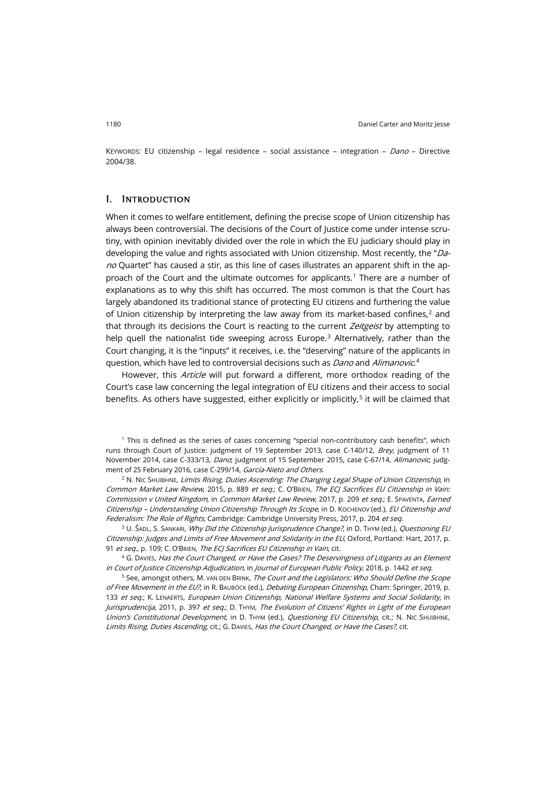KEYWORDS: EU citizenship – legal residence – social assistance – integration – Dano – Directive 2004/38.

#### I. Introduction

When it comes to welfare entitlement, defining the precise scope of Union citizenship has always been controversial. The decisions of the Court of Justice come under intense scrutiny, with opinion inevitably divided over the role in which the EU judiciary should play in developing the value and rights associated with Union citizenship. Most recently, the " $Da$ no Quartet" has caused a stir, as this line of cases illustrates an apparent shift in the approach of the Court and the ultimate outcomes for applicants[.1](#page-1-0) There are a number of explanations as to why this shift has occurred. The most common is that the Court has largely abandoned its traditional stance of protecting EU citizens and furthering the value of Union citizenship by interpreting the law away from its market-based confines, $2$  and that through its decisions the Court is reacting to the current Zeitgeist by attempting to help quell the nationalist tide sweeping across Europe.<sup>[3](#page-1-2)</sup> Alternatively, rather than the Court changing, it is the "inputs" it receives, i.e. the "deserving" nature of the applicants in question, which have led to controversial decisions such as *Dano* and *Alimanovic*.<sup>[4](#page-1-3)</sup>

However, this Article will put forward a different, more orthodox reading of the Court's case law concerning the legal integration of EU citizens and their access to social benefits. As others have suggested, either explicitly or implicitly,<sup>[5](#page-1-4)</sup> it will be claimed that

<span id="page-1-0"></span><sup>1</sup> This is defined as the series of cases concerning "special non-contributory cash benefits", which runs through Court of Justice: judgment of 19 September 2013, case C-140/12, Brey, judgment of 11 November 2014, case C-333/13, Dano; judgment of 15 September 2015, case C-67/14, Alimanovic; judgment of 25 February 2016, case C-299/14, García-Nieto and Others.

<span id="page-1-1"></span> $2$  N. NIC SHUIBHNE, Limits Rising, Duties Ascending: The Changing Legal Shape of Union Citizenship, in Common Market Law Review, 2015, p. 889 et seq.; C. O'BRIEN, The ECJ Sacrifices EU Citizenship in Vain: Commission v United Kingdom, in Common Market Law Review, 2017, p. 209 et seq.; E. SPAVENTA, Earned Citizenship – Understanding Union Citizenship Through Its Scope, in D. KOCHENOV (ed.), EU Citizenship and Federalism: The Role of Rights, Cambridge: Cambridge University Press, 2017, p. 204 et seq.

<span id="page-1-2"></span><sup>3</sup> U. ŠADL, S. SANKARI, Why Did the Citizenship Jurisprudence Change?, in D. THYM (ed.), Questioning EU Citizenship: Judges and Limits of Free Movement and Solidarity in the EU, Oxford, Portland: Hart, 2017, p. 91 et seq., p. 109; C. O'BRIEN, The ECJ Sacrifices EU Citizenship in Vain, cit.

<span id="page-1-3"></span><sup>4</sup> G. DAVIES, Has the Court Changed, or Have the Cases? The Deservingness of Litigants as an Element in Court of Justice Citizenship Adjudication, in Journal of European Public Policy, 2018, p. 1442 et seq.

<span id="page-1-4"></span><sup>5</sup> See, amongst others, M. VAN DEN BRINK, *The Court and the Legislators: Who Should Define the Scope* of Free Movement in the EU?, in R. BAUBÖCK (ed.), Debating European Citizenship, Cham: Springer, 2019, p. 133 et seq.; K. LENAERTS, European Union Citizenship, National Welfare Systems and Social Solidarity, in Jurisprudencija, 2011, p. 397 et seq.; D. THYM, The Evolution of Citizens' Rights in Light of the European Union's Constitutional Development, in D. THYM (ed.), Questioning EU Citizenship, cit.; N. NIC SHUIBHNE, Limits Rising, Duties Ascending, cit.; G. DAVIES, Has the Court Changed, or Have the Cases?, cit.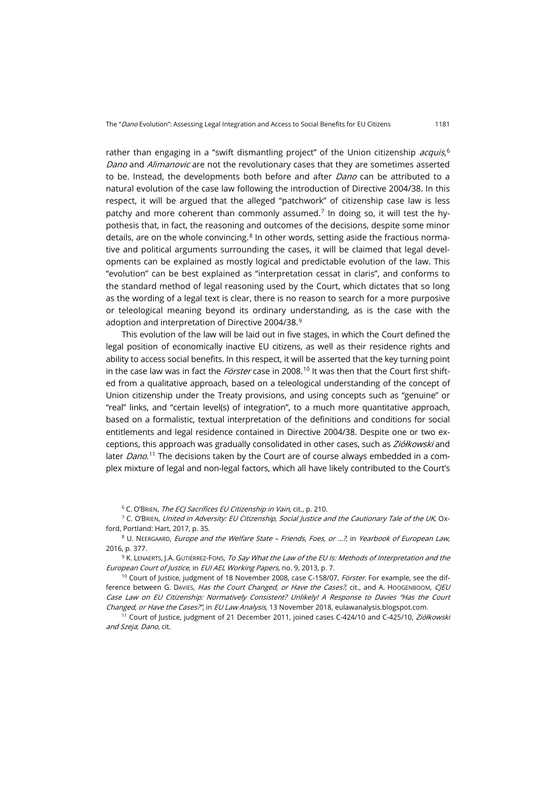rather than engaging in a "swift dismantling project" of the Union citizenship *acquis*,<sup>[6](#page-2-0)</sup> Dano and Alimanovic are not the revolutionary cases that they are sometimes asserted to be. Instead, the developments both before and after *Dano* can be attributed to a natural evolution of the case law following the introduction of Directive 2004/38. In this respect, it will be argued that the alleged "patchwork" of citizenship case law is less patchy and more coherent than commonly assumed.[7](#page-2-1) In doing so, it will test the hypothesis that, in fact, the reasoning and outcomes of the decisions, despite some minor details, are on the whole convincing. $8 \text{ In other words, setting aside the fractions norma 8 \text{ In other words, setting aside the fractions norma$ tive and political arguments surrounding the cases, it will be claimed that legal developments can be explained as mostly logical and predictable evolution of the law. This "evolution" can be best explained as "interpretation cessat in claris", and conforms to the standard method of legal reasoning used by the Court, which dictates that so long as the wording of a legal text is clear, there is no reason to search for a more purposive or teleological meaning beyond its ordinary understanding, as is the case with the adoption and interpretation of Directive 2004/38.[9](#page-2-3)

This evolution of the law will be laid out in five stages, in which the Court defined the legal position of economically inactive EU citizens, as well as their residence rights and ability to access social benefits. In this respect, it will be asserted that the key turning point in the case law was in fact the Förster case in 2008.<sup>[10](#page-2-4)</sup> It was then that the Court first shifted from a qualitative approach, based on a teleological understanding of the concept of Union citizenship under the Treaty provisions, and using concepts such as "genuine" or "real" links, and "certain level(s) of integration", to a much more quantitative approach, based on a formalistic, textual interpretation of the definitions and conditions for social entitlements and legal residence contained in Directive 2004/38. Despite one or two exceptions, this approach was gradually consolidated in other cases, such as Ziółkowski and later *Dano*.<sup>[11](#page-2-5)</sup> The decisions taken by the Court are of course always embedded in a complex mixture of legal and non-legal factors, which all have likely contributed to the Court's

<sup>6</sup> C. O'BRIEN, The ECJ Sacrifices EU Citizenship in Vain, cit., p. 210.

<span id="page-2-1"></span><span id="page-2-0"></span> $7$  C. O'BRIEN, United in Adversity: EU Citizenship, Social Justice and the Cautionary Tale of the UK, Oxford, Portland: Hart, 2017, p. 35.

<span id="page-2-2"></span><sup>8</sup> U. NEERGAARD, Europe and the Welfare State – Friends, Foes, or …?, in Yearbook of European Law, 2016, p. 377.

<span id="page-2-3"></span><sup>9</sup> K. LENAERTS, J.A. GUTIÉRREZ-FONS, To Say What the Law of the EU Is: Methods of Interpretation and the European Court of Justice, in EUI AEL Working Papers, no. 9, 2013, p. 7.

<span id="page-2-4"></span><sup>10</sup> Court of Justice, judgment of 18 November 2008, case C-158/07, *Förster*. For example, see the difference between G. DAVIES, Has the Court Changed, or Have the Cases?, cit., and A. HOOGENBOOM, CJEU Case Law on EU Citizenship: Normatively Consistent? Unlikely! A Response to Davies "Has the Court Changed, or Have the Cases?", in EU Law Analysis, 13 November 2018[, eulawanalysis.blogspot.com.](http://eulawanalysis.blogspot.com/2018/11/cjeu-case-law-on-eu-citizenship.html)

<span id="page-2-5"></span><sup>11</sup> Court of Justice, judgment of 21 December 2011, joined cases C-424/10 and C-425/10, Ziółkowski and Szeja; Dano, cit.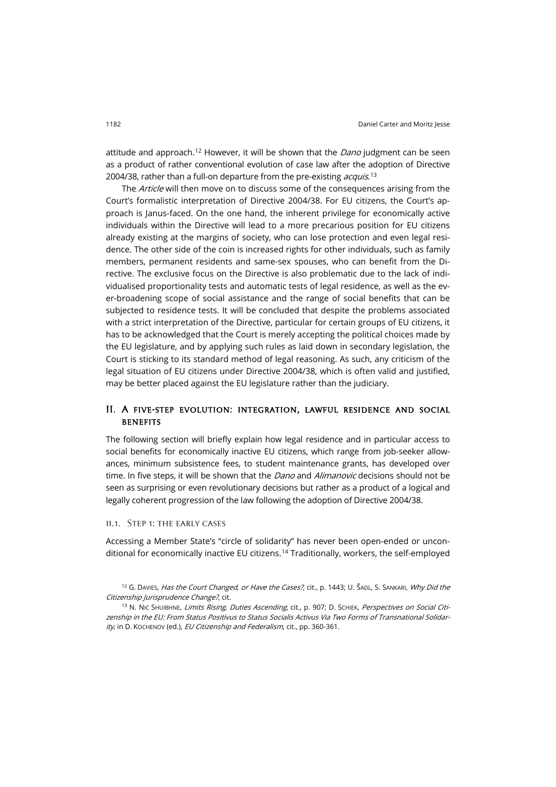attitude and approach.<sup>[12](#page-3-0)</sup> However, it will be shown that the *Dano* judgment can be seen as a product of rather conventional evolution of case law after the adoption of Directive 2004/38, rather than a full-on departure from the pre-existing *acquis*.<sup>[13](#page-3-1)</sup>

The Article will then move on to discuss some of the consequences arising from the Court's formalistic interpretation of Directive 2004/38. For EU citizens, the Court's approach is Janus-faced. On the one hand, the inherent privilege for economically active individuals within the Directive will lead to a more precarious position for EU citizens already existing at the margins of society, who can lose protection and even legal residence. The other side of the coin is increased rights for other individuals, such as family members, permanent residents and same-sex spouses, who can benefit from the Directive. The exclusive focus on the Directive is also problematic due to the lack of individualised proportionality tests and automatic tests of legal residence, as well as the ever-broadening scope of social assistance and the range of social benefits that can be subjected to residence tests. It will be concluded that despite the problems associated with a strict interpretation of the Directive, particular for certain groups of EU citizens, it has to be acknowledged that the Court is merely accepting the political choices made by the EU legislature, and by applying such rules as laid down in secondary legislation, the Court is sticking to its standard method of legal reasoning. As such, any criticism of the legal situation of EU citizens under Directive 2004/38, which is often valid and justified, may be better placed against the EU legislature rather than the judiciary.

## <span id="page-3-2"></span>II. A five-step evolution: integration, lawful residence and social **BENEFITS**

The following section will briefly explain how legal residence and in particular access to social benefits for economically inactive EU citizens, which range from job-seeker allowances, minimum subsistence fees, to student maintenance grants, has developed over time. In five steps, it will be shown that the *Dano* and *Alimanovic* decisions should not be seen as surprising or even revolutionary decisions but rather as a product of a logical and legally coherent progression of the law following the adoption of Directive 2004/38.

#### ii.1. Step 1: the early cases

Accessing a Member State's "circle of solidarity" has never been open-ended or unconditional for economically inactive EU citizens.[14](#page-3-2) Traditionally, workers, the self-employed

<span id="page-3-0"></span><sup>&</sup>lt;sup>12</sup> G. DAVIES, Has the Court Changed, or Have the Cases?, cit., p. 1443; U. ŠADL, S. SANKARI, Why Did the Citizenship Jurisprudence Change?, cit.

<span id="page-3-1"></span><sup>13</sup> N. NIC SHUIBHNE, Limits Rising, Duties Ascending, cit., p. 907; D. SCHIEK, Perspectives on Social Citizenship in the EU: From Status Positivus to Status Socialis Activus Via Two Forms of Transnational Solidarity, in D. KOCHENOV (ed.), EU Citizenship and Federalism, cit., pp. 360-361.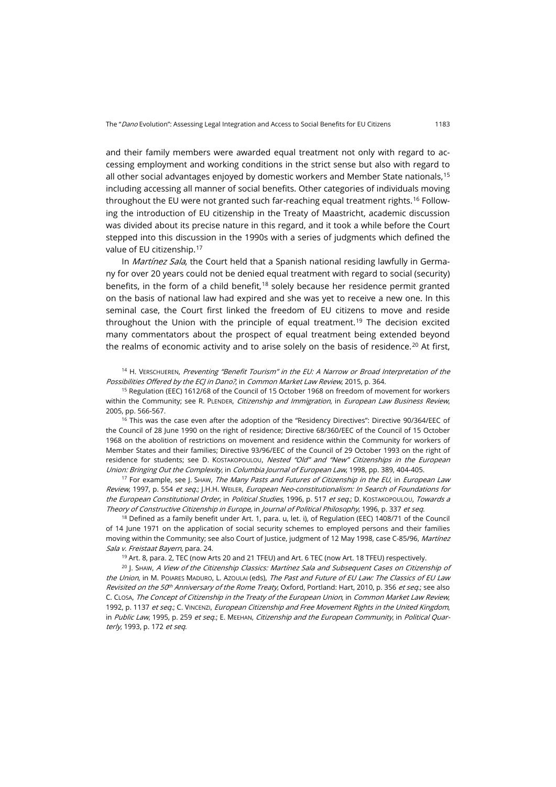and their family members were awarded equal treatment not only with regard to accessing employment and working conditions in the strict sense but also with regard to all other social advantages enjoyed by domestic workers and Member State nationals,[15](#page-4-0) including accessing all manner of social benefits. Other categories of individuals moving throughout the EU were not granted such far-reaching equal treatment rights.<sup>[16](#page-4-1)</sup> Following the introduction of EU citizenship in the Treaty of Maastricht, academic discussion was divided about its precise nature in this regard, and it took a while before the Court stepped into this discussion in the 1990s with a series of judgments which defined the value of EU citizenship.<sup>[17](#page-4-2)</sup>

In *Martínez Sala*, the Court held that a Spanish national residing lawfully in Germany for over 20 years could not be denied equal treatment with regard to social (security) benefits, in the form of a child benefit,<sup>[18](#page-4-3)</sup> solely because her residence permit granted on the basis of national law had expired and she was yet to receive a new one. In this seminal case, the Court first linked the freedom of EU citizens to move and reside throughout the Union with the principle of equal treatment.<sup>[19](#page-4-4)</sup> The decision excited many commentators about the prospect of equal treatment being extended beyond the realms of economic activity and to arise solely on the basis of residence.<sup>[20](#page-4-5)</sup> At first,

<sup>14</sup> H. VERSCHUEREN, Preventing "Benefit Tourism" in the EU: A Narrow or Broad Interpretation of the Possibilities Offered by the ECJ in Dano?, in Common Market Law Review, 2015, p. 364.

<span id="page-4-0"></span><sup>15</sup> Regulation (EEC) 1612/68 of the Council of 15 October 1968 on freedom of movement for workers within the Community; see R. PLENDER, Citizenship and Immigration, in European Law Business Review, 2005, pp. 566-567.

<span id="page-4-1"></span><sup>16</sup> This was the case even after the adoption of the "Residency Directives": Directive 90/364/EEC of the Council of 28 June 1990 on the right of residence; Directive 68/360/EEC of the Council of 15 October 1968 on the abolition of restrictions on movement and residence within the Community for workers of Member States and their families; Directive 93/96/EEC of the Council of 29 October 1993 on the right of residence for students; see D. KOSTAKOPOULOU, Nested "Old" and "New" Citizenships in the European Union: Bringing Out the Complexity, in Columbia Journal of European Law, 1998, pp. 389, 404-405.

<span id="page-4-2"></span><sup>17</sup> For example, see J. Shaw, *The Many Pasts and Futures of Citizenship in the EU*, in *European Law* Review, 1997, p. 554 et seq.; J.H.H. WEILER, European Neo-constitutionalism: In Search of Foundations for the European Constitutional Order, in Political Studies, 1996, p. 517 et seq.; D. KOSTAKOPOULOU, Towards a Theory of Constructive Citizenship in Europe, in Journal of Political Philosophy, 1996, p. 337 et seq.

<span id="page-4-3"></span> $18$  Defined as a family benefit under Art. 1, para. u, let. i), of Regulation (EEC) 1408/71 of the Council of 14 June 1971 on the application of social security schemes to employed persons and their families moving within the Community; see also Court of Justice, judgment of 12 May 1998, case C-85/96, Martínez Sala v. Freistaat Bayern, para. 24.

<sup>19</sup> Art. 8, para. 2, TEC (now Arts 20 and 21 TFEU) and Art. 6 TEC (now Art. 18 TFEU) respectively.

<span id="page-4-5"></span><span id="page-4-4"></span><sup>20</sup> J. SHAW, A View of the Citizenship Classics: Martínez Sala and Subsequent Cases on Citizenship of the Union, in M. POIARES MADURO, L. AZOULAI (eds), The Past and Future of EU Law: The Classics of EU Law Revisited on the 50<sup>th</sup> Anniversary of the Rome Treaty, Oxford, Portland: Hart, 2010, p. 356 et seq.; see also C. CLOSA, The Concept of Citizenship in the Treaty of the European Union, in Common Market Law Review, 1992, p. 1137 et seq.; C. VINCENZI, European Citizenship and Free Movement Rights in the United Kingdom, in Public Law, 1995, p. 259 et seq.; E. MEEHAN, Citizenship and the European Community, in Political Quarterly, 1993, p. 172 et seq.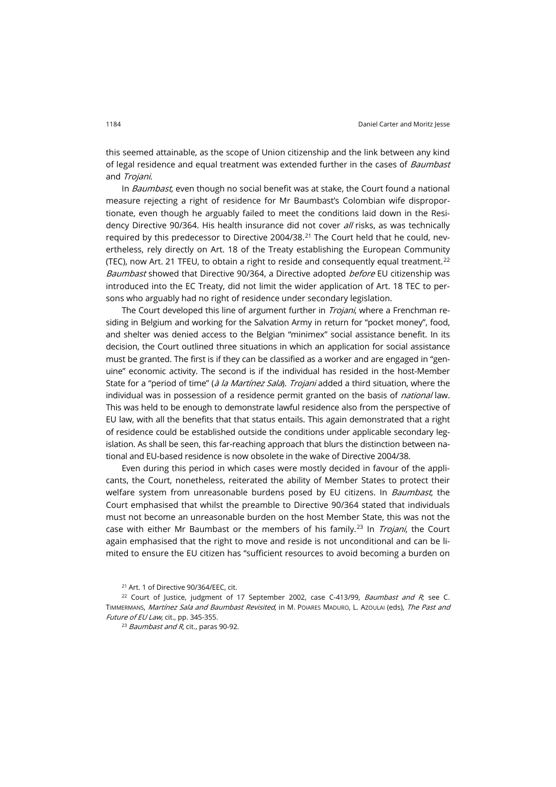this seemed attainable, as the scope of Union citizenship and the link between any kind of legal residence and equal treatment was extended further in the cases of *Baumbast* and Trojani.

In *Baumbast*, even though no social benefit was at stake, the Court found a national measure rejecting a right of residence for Mr Baumbast's Colombian wife disproportionate, even though he arguably failed to meet the conditions laid down in the Residency Directive 90/364. His health insurance did not cover all risks, as was technically required by this predecessor to Directive 2004/38.<sup>[21](#page-5-0)</sup> The Court held that he could, nevertheless, rely directly on Art. 18 of the Treaty establishing the European Community (TEC), now Art. 21 TFEU, to obtain a right to reside and consequently equal treatment.<sup>[22](#page-5-1)</sup> Baumbast showed that Directive 90/364, a Directive adopted before EU citizenship was introduced into the EC Treaty, did not limit the wider application of Art. 18 TEC to persons who arguably had no right of residence under secondary legislation.

The Court developed this line of argument further in *Trojani*, where a Frenchman residing in Belgium and working for the Salvation Army in return for "pocket money", food, and shelter was denied access to the Belgian "minimex" social assistance benefit. In its decision, the Court outlined three situations in which an application for social assistance must be granted. The first is if they can be classified as a worker and are engaged in "genuine" economic activity. The second is if the individual has resided in the host-Member State for a "period of time" (à la Martínez Sala). Trojani added a third situation, where the individual was in possession of a residence permit granted on the basis of *national* law. This was held to be enough to demonstrate lawful residence also from the perspective of EU law, with all the benefits that that status entails. This again demonstrated that a right of residence could be established outside the conditions under applicable secondary legislation. As shall be seen, this far-reaching approach that blurs the distinction between national and EU-based residence is now obsolete in the wake of Directive 2004/38.

Even during this period in which cases were mostly decided in favour of the applicants, the Court, nonetheless, reiterated the ability of Member States to protect their welfare system from unreasonable burdens posed by EU citizens. In *Baumbast*, the Court emphasised that whilst the preamble to Directive 90/364 stated that individuals must not become an unreasonable burden on the host Member State, this was not the case with either Mr Baumbast or the members of his family.<sup>[23](#page-5-2)</sup> In *Trojani*, the Court again emphasised that the right to move and reside is not unconditional and can be limited to ensure the EU citizen has "sufficient resources to avoid becoming a burden on

<sup>21</sup> Art. 1 of Directive 90/364/EEC, cit.

<span id="page-5-2"></span><span id="page-5-1"></span><span id="page-5-0"></span><sup>&</sup>lt;sup>22</sup> Court of Justice, judgment of 17 September 2002, case C-413/99, *Baumbast and R*; see C. TIMMERMANS, Martínez Sala and Baumbast Revisited, in M. POIARES MADURO, L. AzOULAI (eds), The Past and Future of EU Law, cit., pp. 345-355.

<sup>&</sup>lt;sup>23</sup> Baumbast and R, cit., paras 90-92.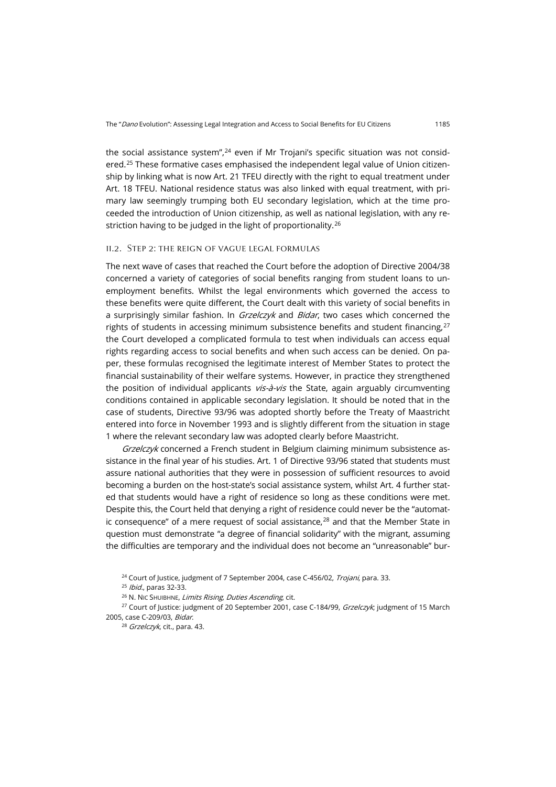the social assistance system", $^{24}$  $^{24}$  $^{24}$  even if Mr Trojani's specific situation was not consid-ered.<sup>[25](#page-6-1)</sup> These formative cases emphasised the independent legal value of Union citizenship by linking what is now Art. 21 TFEU directly with the right to equal treatment under Art. 18 TFEU. National residence status was also linked with equal treatment, with primary law seemingly trumping both EU secondary legislation, which at the time proceeded the introduction of Union citizenship, as well as national legislation, with any re-striction having to be judged in the light of proportionality.<sup>[26](#page-6-2)</sup>

#### ii.2. Step 2: the reign of vague legal formulas

The next wave of cases that reached the Court before the adoption of Directive 2004/38 concerned a variety of categories of social benefits ranging from student loans to unemployment benefits. Whilst the legal environments which governed the access to these benefits were quite different, the Court dealt with this variety of social benefits in a surprisingly similar fashion. In Grzelczyk and Bidar, two cases which concerned the rights of students in accessing minimum subsistence benefits and student financing, $27$ the Court developed a complicated formula to test when individuals can access equal rights regarding access to social benefits and when such access can be denied. On paper, these formulas recognised the legitimate interest of Member States to protect the financial sustainability of their welfare systems. However, in practice they strengthened the position of individual applicants  $vis-\partial - vis$  the State, again arguably circumventing conditions contained in applicable secondary legislation. It should be noted that in the case of students, Directive 93/96 was adopted shortly before the Treaty of Maastricht entered into force in November 1993 and is slightly different from the situation in stage 1 where the relevant secondary law was adopted clearly before Maastricht.

Grzelczyk concerned a French student in Belgium claiming minimum subsistence assistance in the final year of his studies. Art. 1 of Directive 93/96 stated that students must assure national authorities that they were in possession of sufficient resources to avoid becoming a burden on the host-state's social assistance system, whilst Art. 4 further stated that students would have a right of residence so long as these conditions were met. Despite this, the Court held that denying a right of residence could never be the "automatic consequence" of a mere request of social assistance, $^{28}$  $^{28}$  $^{28}$  and that the Member State in question must demonstrate "a degree of financial solidarity" with the migrant, assuming the difficulties are temporary and the individual does not become an "unreasonable" bur-

<sup>26</sup> N. NIC SHUIBHNE, Limits Rising, Duties Ascending, cit.

<span id="page-6-4"></span><span id="page-6-3"></span><span id="page-6-2"></span><span id="page-6-1"></span><span id="page-6-0"></span><sup>27</sup> Court of Justice: judgment of 20 September 2001, case C-184/99, Grzelczyk; judgment of 15 March 2005, case C-209/03, Bidar.

<sup>28</sup> Grzelczyk, cit., para. 43.

<sup>&</sup>lt;sup>24</sup> Court of Justice, judgment of 7 September 2004, case C-456/02, *Trojani*, para. 33.

<sup>25</sup> Ibid., paras 32-33.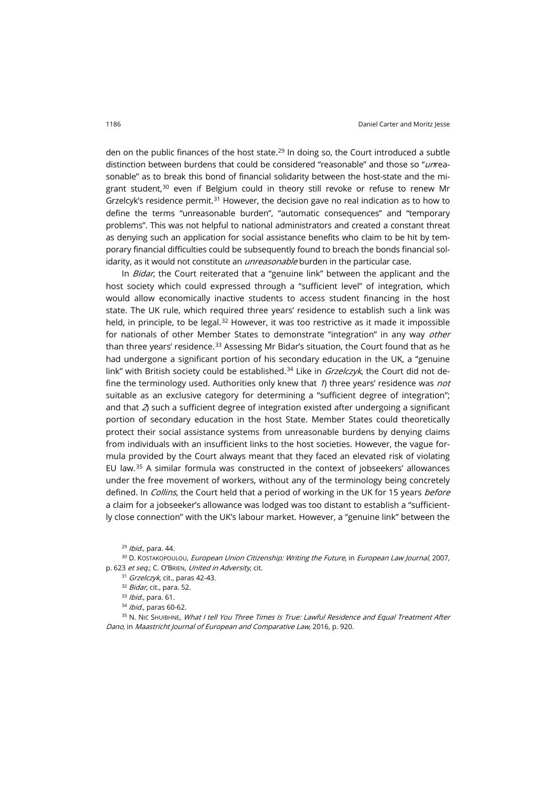den on the public finances of the host state.<sup>[29](#page-7-0)</sup> In doing so, the Court introduced a subtle distinction between burdens that could be considered "reasonable" and those so "unreasonable" as to break this bond of financial solidarity between the host-state and the migrant student, $30$  even if Belgium could in theory still revoke or refuse to renew Mr Grzelcyk's residence permit.<sup>[31](#page-7-2)</sup> However, the decision gave no real indication as to how to define the terms "unreasonable burden", "automatic consequences" and "temporary problems". This was not helpful to national administrators and created a constant threat as denying such an application for social assistance benefits who claim to be hit by temporary financial difficulties could be subsequently found to breach the bonds financial solidarity, as it would not constitute an *unreasonable* burden in the particular case.

In *Bidar*, the Court reiterated that a "genuine link" between the applicant and the host society which could expressed through a "sufficient level" of integration, which would allow economically inactive students to access student financing in the host state. The UK rule, which required three years' residence to establish such a link was held, in principle, to be legal.<sup>[32](#page-7-3)</sup> However, it was too restrictive as it made it impossible for nationals of other Member States to demonstrate "integration" in any way *other* than three years' residence.<sup>[33](#page-7-4)</sup> Assessing Mr Bidar's situation, the Court found that as he had undergone a significant portion of his secondary education in the UK, a "genuine link" with British society could be established.<sup>[34](#page-7-5)</sup> Like in *Grzelczyk*, the Court did not define the terminology used. Authorities only knew that  $\eta$  three years' residence was *not* suitable as an exclusive category for determining a "sufficient degree of integration"; and that  $2$ ) such a sufficient degree of integration existed after undergoing a significant portion of secondary education in the host State. Member States could theoretically protect their social assistance systems from unreasonable burdens by denying claims from individuals with an insufficient links to the host societies. However, the vague formula provided by the Court always meant that they faced an elevated risk of violating EU law.[35](#page-7-6) A similar formula was constructed in the context of jobseekers' allowances under the free movement of workers, without any of the terminology being concretely defined. In *Collins*, the Court held that a period of working in the UK for 15 years *before* a claim for a jobseeker's allowance was lodged was too distant to establish a "sufficiently close connection" with the UK's labour market. However, a "genuine link" between the

<sup>29</sup> Ibid., para. 44.

<span id="page-7-3"></span><span id="page-7-2"></span><span id="page-7-1"></span><span id="page-7-0"></span><sup>30</sup> D. KOSTAKOPOULOU, European Union Citizenship: Writing the Future, in European Law Journal, 2007, p. 623 et seq.; C. O'BRIEN, United in Adversity, cit.

<sup>31</sup> Grzelczyk, cit., paras 42-43.

<sup>32</sup> Bidar, cit., para. 52.

<sup>33</sup> Ibid., para. 61.

34 *Ibid.*, paras 60-62.

<span id="page-7-6"></span><span id="page-7-5"></span><span id="page-7-4"></span>35 N. NIC SHUIBHNE, What I tell You Three Times Is True: Lawful Residence and Equal Treatment After Dano, in Maastricht Journal of European and Comparative Law, 2016, p. 920.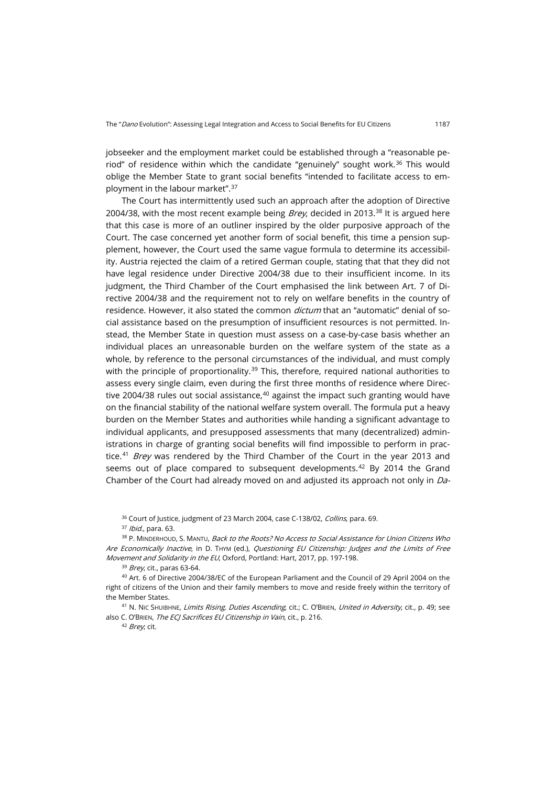jobseeker and the employment market could be established through a "reasonable period" of residence within which the candidate "genuinely" sought work.[36](#page-8-0) This would oblige the Member State to grant social benefits "intended to facilitate access to employment in the labour market".[37](#page-8-1)

The Court has intermittently used such an approach after the adoption of Directive 2004/[38](#page-8-2), with the most recent example being *Brey*, decided in 2013.<sup>38</sup> It is argued here that this case is more of an outliner inspired by the older purposive approach of the Court. The case concerned yet another form of social benefit, this time a pension supplement, however, the Court used the same vague formula to determine its accessibility. Austria rejected the claim of a retired German couple, stating that that they did not have legal residence under Directive 2004/38 due to their insufficient income. In its judgment, the Third Chamber of the Court emphasised the link between Art. 7 of Directive 2004/38 and the requirement not to rely on welfare benefits in the country of residence. However, it also stated the common *dictum* that an "automatic" denial of social assistance based on the presumption of insufficient resources is not permitted. Instead, the Member State in question must assess on a case-by-case basis whether an individual places an unreasonable burden on the welfare system of the state as a whole, by reference to the personal circumstances of the individual, and must comply with the principle of proportionality.<sup>[39](#page-8-3)</sup> This, therefore, required national authorities to assess every single claim, even during the first three months of residence where Directive 2004/38 rules out social assistance, [40](#page-8-4) against the impact such granting would have on the financial stability of the national welfare system overall. The formula put a heavy burden on the Member States and authorities while handing a significant advantage to individual applicants, and presupposed assessments that many (decentralized) administrations in charge of granting social benefits will find impossible to perform in prac-tice.<sup>[41](#page-8-5)</sup> Brey was rendered by the Third Chamber of the Court in the year 2013 and seems out of place compared to subsequent developments.<sup>[42](#page-8-6)</sup> By 2014 the Grand Chamber of the Court had already moved on and adjusted its approach not only in Da-

<sup>36</sup> Court of Justice, judgment of 23 March 2004, case C-138/02, *Collins*, para. 69.

<sup>37</sup> Ibid., para. 63.

<span id="page-8-2"></span><span id="page-8-1"></span><span id="page-8-0"></span>38 P. MINDERHOUD, S. MANTU, Back to the Roots? No Access to Social Assistance for Union Citizens Who Are Economically Inactive, in D. Thym (ed.), Questioning EU Citizenship: Judges and the Limits of Free Movement and Solidarity in the EU, Oxford, Portland: Hart, 2017, pp. 197-198.

 $39$  Brey, cit., paras 63-64.

<span id="page-8-4"></span><span id="page-8-3"></span><sup>40</sup> Art. 6 of Directive 2004/38/EC of the European Parliament and the Council of 29 April 2004 on the right of citizens of the Union and their family members to move and reside freely within the territory of the Member States.

<span id="page-8-6"></span><span id="page-8-5"></span>41 N. NIC SHUIBHNE, Limits Rising, Duties Ascending, cit.; C. O'BRIEN, United in Adversity, cit., p. 49; see also C. O'BRIEN, The ECJ Sacrifices EU Citizenship in Vain, cit., p. 216.

<sup>42</sup> Brev: cit.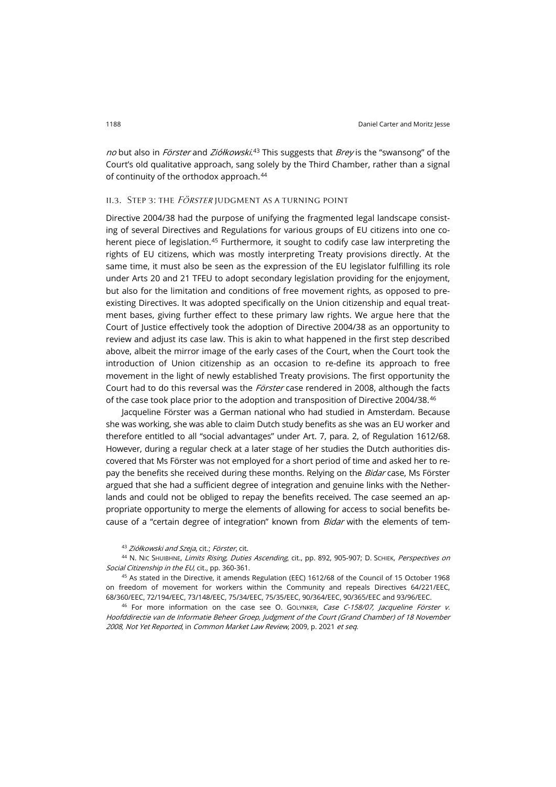*no* but also in *Förster* and *Ziółkowski*.<sup>[43](#page-9-0)</sup> This suggests that *Brey* is the "swansong" of the Court's old qualitative approach, sang solely by the Third Chamber, rather than a signal of continuity of the orthodox approach.<sup>[44](#page-9-1)</sup>

#### II.3. STEP 3: THE FÖRSTER JUDGMENT AS A TURNING POINT

Directive 2004/38 had the purpose of unifying the fragmented legal landscape consisting of several Directives and Regulations for various groups of EU citizens into one co-herent piece of legislation.<sup>[45](#page-9-2)</sup> Furthermore, it sought to codify case law interpreting the rights of EU citizens, which was mostly interpreting Treaty provisions directly. At the same time, it must also be seen as the expression of the EU legislator fulfilling its role under Arts 20 and 21 TFEU to adopt secondary legislation providing for the enjoyment, but also for the limitation and conditions of free movement rights, as opposed to preexisting Directives. It was adopted specifically on the Union citizenship and equal treatment bases, giving further effect to these primary law rights. We argue here that the Court of Justice effectively took the adoption of Directive 2004/38 as an opportunity to review and adjust its case law. This is akin to what happened in the first step described above, albeit the mirror image of the early cases of the Court, when the Court took the introduction of Union citizenship as an occasion to re-define its approach to free movement in the light of newly established Treaty provisions. The first opportunity the Court had to do this reversal was the Förster case rendered in 2008, although the facts of the case took place prior to the adoption and transposition of Directive 2004/38.[46](#page-9-3)

Jacqueline Förster was a German national who had studied in Amsterdam. Because she was working, she was able to claim Dutch study benefits as she was an EU worker and therefore entitled to all "social advantages" under Art. 7, para. 2, of Regulation 1612/68. However, during a regular check at a later stage of her studies the Dutch authorities discovered that Ms Förster was not employed for a short period of time and asked her to repay the benefits she received during these months. Relying on the *Bidar* case, Ms Förster argued that she had a sufficient degree of integration and genuine links with the Netherlands and could not be obliged to repay the benefits received. The case seemed an appropriate opportunity to merge the elements of allowing for access to social benefits because of a "certain degree of integration" known from Bidar with the elements of tem-

#### 43 Ziółkowski and Szeja, cit.; Förster, cit.

<span id="page-9-1"></span><span id="page-9-0"></span>44 N. NIC SHUIBHNE, Limits Rising, Duties Ascending, cit., pp. 892, 905-907; D. SCHIEK, Perspectives on Social Citizenship in the EU, cit., pp. 360-361.

<span id="page-9-2"></span><sup>45</sup> As stated in the Directive, it amends Regulation (EEC) 1612/68 of the Council of 15 October 1968 on freedom of movement for workers within the Community and repeals Directives 64/221/EEC, 68/360/EEC, 72/194/EEC, 73/148/EEC, 75/34/EEC, 75/35/EEC, 90/364/EEC, 90/365/EEC and 93/96/EEC.

<span id="page-9-3"></span><sup>46</sup> For more information on the case see O. GOLYNKER, Case C-158/07, Jacqueline Förster v. Hoofddirectie van de Informatie Beheer Groep, Judgment of the Court (Grand Chamber) of 18 November 2008, Not Yet Reported, in Common Market Law Review, 2009, p. 2021 et seq.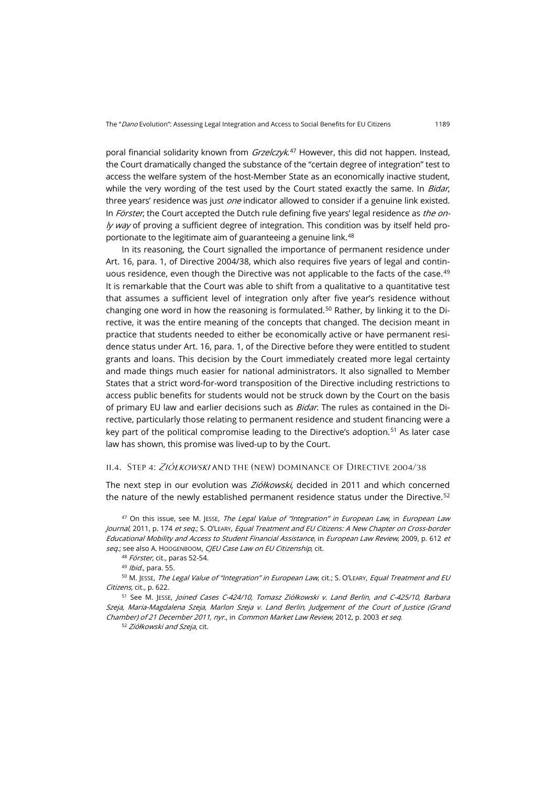poral financial solidarity known from *Grzelczyk*.<sup>[47](#page-10-0)</sup> However, this did not happen. Instead, the Court dramatically changed the substance of the "certain degree of integration" test to access the welfare system of the host-Member State as an economically inactive student, while the very wording of the test used by the Court stated exactly the same. In Bidar, three years' residence was just *one* indicator allowed to consider if a genuine link existed. In Förster, the Court accepted the Dutch rule defining five years' legal residence as the on- $\mu$  way of proving a sufficient degree of integration. This condition was by itself held pro-portionate to the legitimate aim of guaranteeing a genuine link.<sup>[48](#page-10-1)</sup>

In its reasoning, the Court signalled the importance of permanent residence under Art. 16, para. 1, of Directive 2004/38, which also requires five years of legal and contin-uous residence, even though the Directive was not applicable to the facts of the case.<sup>[49](#page-10-2)</sup> It is remarkable that the Court was able to shift from a qualitative to a quantitative test that assumes a sufficient level of integration only after five year's residence without changing one word in how the reasoning is formulated.<sup>[50](#page-10-3)</sup> Rather, by linking it to the Directive, it was the entire meaning of the concepts that changed. The decision meant in practice that students needed to either be economically active or have permanent residence status under Art. 16, para. 1, of the Directive before they were entitled to student grants and loans. This decision by the Court immediately created more legal certainty and made things much easier for national administrators. It also signalled to Member States that a strict word-for-word transposition of the Directive including restrictions to access public benefits for students would not be struck down by the Court on the basis of primary EU law and earlier decisions such as *Bidar*. The rules as contained in the Directive, particularly those relating to permanent residence and student financing were a key part of the political compromise leading to the Directive's adoption.<sup>[51](#page-10-4)</sup> As later case law has shown, this promise was lived-up to by the Court.

#### ii.4. Step 4: Ziółkowski and the (new) dominance of Directive 2004/38

The next step in our evolution was Ziółkowski, decided in 2011 and which concerned the nature of the newly established permanent residence status under the Directive.<sup>[52](#page-10-5)</sup>

<span id="page-10-0"></span><sup>47</sup> On this issue, see M. JESSE, The Legal Value of "Integration" in European Law, in European Law Journal, 2011, p. 174 et seq.; S. O'LEARY, Equal Treatment and EU Citizens: A New Chapter on Cross-border Educational Mobility and Access to Student Financial Assistance, in European Law Review, 2009, p. 612 et seq.; see also A. Hoogenboom, C/EU Case Law on EU Citizenship, cit.

48 Förster, cit., paras 52-54.

49 *Ibid.*, para. 55.

<span id="page-10-3"></span><span id="page-10-2"></span><span id="page-10-1"></span>50 M. JESSE, The Legal Value of "Integration" in European Law, cit.; S. O'LEARY, Equal Treatment and EU Citizens, cit., p. 622.

<span id="page-10-5"></span><span id="page-10-4"></span>51 See M. JESSE, Joined Cases C-424/10, Tomasz Ziółkowski v. Land Berlin, and C-425/10, Barbara Szeja, Maria-Magdalena Szeja, Marlon Szeja v. Land Berlin, Judgement of the Court of Justice (Grand Chamber) of 21 December 2011, nyr., in Common Market Law Review, 2012, p. 2003 et seq.

52 Ziółkowski and Szeja, cit.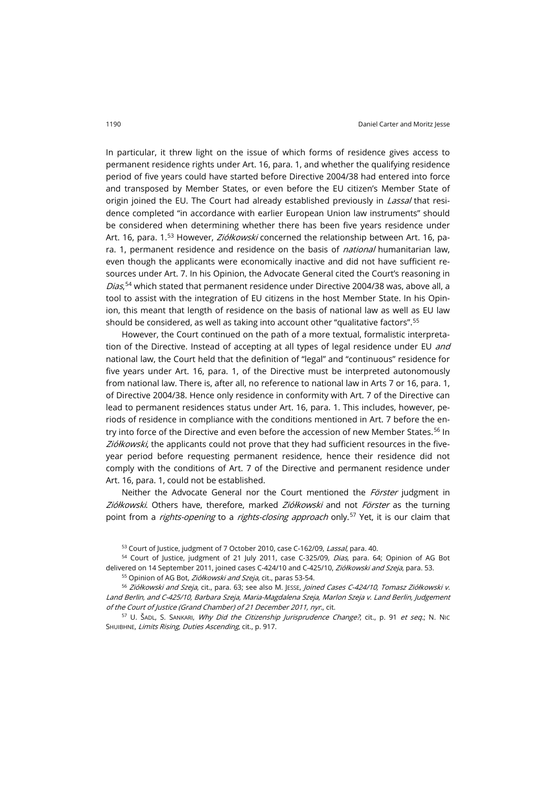In particular, it threw light on the issue of which forms of residence gives access to permanent residence rights under Art. 16, para. 1, and whether the qualifying residence period of five years could have started before Directive 2004/38 had entered into force and transposed by Member States, or even before the EU citizen's Member State of origin joined the EU. The Court had already established previously in *Lassal* that residence completed "in accordance with earlier European Union law instruments" should be considered when determining whether there has been five years residence under Art. 16, para. 1.<sup>[53](#page-11-0)</sup> However, Ziółkowski concerned the relationship between Art. 16, para. 1, permanent residence and residence on the basis of *national* humanitarian law, even though the applicants were economically inactive and did not have sufficient resources under Art. 7. In his Opinion, the Advocate General cited the Court's reasoning in *Dias*,<sup>[54](#page-11-1)</sup> which stated that permanent residence under Directive 2004/38 was, above all, a tool to assist with the integration of EU citizens in the host Member State. In his Opinion, this meant that length of residence on the basis of national law as well as EU law should be considered, as well as taking into account other "qualitative factors".<sup>[55](#page-11-2)</sup>

However, the Court continued on the path of a more textual, formalistic interpretation of the Directive. Instead of accepting at all types of legal residence under EU and national law, the Court held that the definition of "legal" and "continuous" residence for five years under Art. 16, para. 1, of the Directive must be interpreted autonomously from national law. There is, after all, no reference to national law in Arts 7 or 16, para. 1, of Directive 2004/38. Hence only residence in conformity with Art. 7 of the Directive can lead to permanent residences status under Art. 16, para. 1. This includes, however, periods of residence in compliance with the conditions mentioned in Art. 7 before the en-try into force of the Directive and even before the accession of new Member States.<sup>[56](#page-11-3)</sup> In Ziółkowski, the applicants could not prove that they had sufficient resources in the fiveyear period before requesting permanent residence, hence their residence did not comply with the conditions of Art. 7 of the Directive and permanent residence under Art. 16, para. 1, could not be established.

Neither the Advocate General nor the Court mentioned the *Förster* judgment in Ziółkowski. Others have, therefore, marked Ziółkowski and not Förster as the turning point from a *rights-opening* to a *rights-closing approach* only.<sup>[57](#page-11-4)</sup> Yet, it is our claim that

<sup>53</sup> Court of Justice, judgment of 7 October 2010, case C-162/09, *Lassal*, para. 40.

<span id="page-11-1"></span><span id="page-11-0"></span><sup>54</sup> Court of Justice, judgment of 21 July 2011, case C-325/09, *Dias*, para. 64; Opinion of AG Bot delivered on 14 September 2011, joined cases C-424/10 and C-425/10, Ziółkowski and Szeja, para. 53.

55 Opinion of AG Bot, Ziółkowski and Szeja, cit., paras 53-54.

<span id="page-11-3"></span><span id="page-11-2"></span>56 Ziółkowski and Szeja, cit., para. 63; see also M. JESSE, Joined Cases C-424/10, Tomasz Ziółkowski v. Land Berlin, and C-425/10, Barbara Szeja, Maria-Magdalena Szeja, Marlon Szeja v. Land Berlin, Judgement of the Court of Justice (Grand Chamber) of 21 December 2011, nyr., cit.

<span id="page-11-4"></span>57 U. ŠADL, S. SANKARI, Why Did the Citizenship Jurisprudence Change?, cit., p. 91 et seq.; N. NIC SHUIBHNE, Limits Rising, Duties Ascending, cit., p. 917.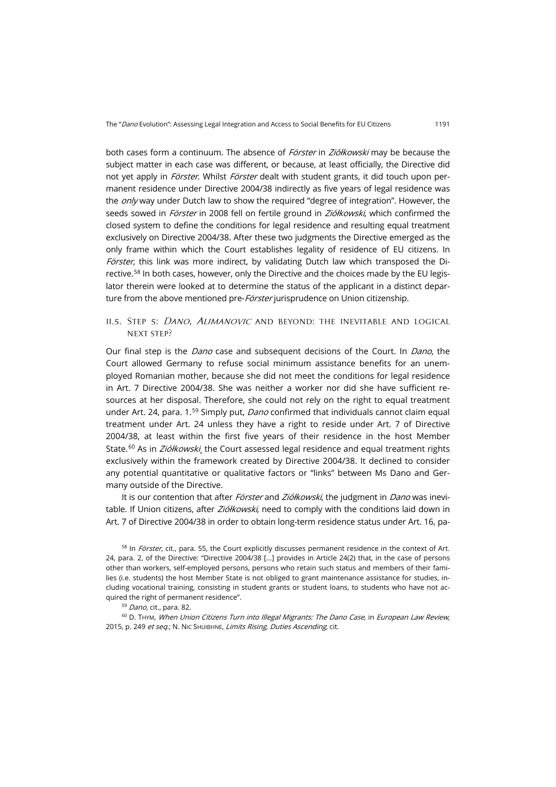both cases form a continuum. The absence of *Förster* in Ziółkowski may be because the subject matter in each case was different, or because, at least officially, the Directive did not yet apply in *Förster*. Whilst *Förster* dealt with student grants, it did touch upon permanent residence under Directive 2004/38 indirectly as five years of legal residence was the *only* way under Dutch law to show the required "degree of integration". However, the seeds sowed in Förster in 2008 fell on fertile ground in Ziółkowski, which confirmed the closed system to define the conditions for legal residence and resulting equal treatment exclusively on Directive 2004/38. After these two judgments the Directive emerged as the only frame within which the Court establishes legality of residence of EU citizens. In Förster, this link was more indirect, by validating Dutch law which transposed the Di-rective.<sup>[58](#page-12-0)</sup> In both cases, however, only the Directive and the choices made by the EU legislator therein were looked at to determine the status of the applicant in a distinct departure from the above mentioned pre-Förster jurisprudence on Union citizenship.

ii.5. Step 5: Dano, Alimanovic and beyond: the inevitable and logical NEXT STEP?

Our final step is the *Dano* case and subsequent decisions of the Court. In *Dano*, the Court allowed Germany to refuse social minimum assistance benefits for an unemployed Romanian mother, because she did not meet the conditions for legal residence in Art. 7 Directive 2004/38. She was neither a worker nor did she have sufficient resources at her disposal. Therefore, she could not rely on the right to equal treatment under Art. 24, para. 1.<sup>[59](#page-12-1)</sup> Simply put, *Dano* confirmed that individuals cannot claim equal treatment under Art. 24 unless they have a right to reside under Art. 7 of Directive 2004/38, at least within the first five years of their residence in the host Member State.<sup>[60](#page-12-2)</sup> As in *Ziółkowski*, the Court assessed legal residence and equal treatment rights exclusively within the framework created by Directive 2004/38. It declined to consider any potential quantitative or qualitative factors or "links" between Ms Dano and Germany outside of the Directive.

It is our contention that after *Förster* and *Ziółkowski*, the judgment in *Dano* was inevitable. If Union citizens, after Ziółkowski, need to comply with the conditions laid down in Art. 7 of Directive 2004/38 in order to obtain long-term residence status under Art. 16, pa-

<span id="page-12-0"></span><sup>58</sup> In *Förster*, cit., para. 55, the Court explicitly discusses permanent residence in the context of Art. 24, para. 2, of the Directive: "Directive 2004/38 […] provides in Article 24(2) that, in the case of persons other than workers, self-employed persons, persons who retain such status and members of their families (i.e. students) the host Member State is not obliged to grant maintenance assistance for studies, including vocational training, consisting in student grants or student loans, to students who have not acquired the right of permanent residence".

59 Dano, cit., para. 82.

<span id="page-12-2"></span><span id="page-12-1"></span><sup>60</sup> D. THYM, When Union Citizens Turn into Illegal Migrants: The Dano Case, in European Law Review, 2015, p. 249 et seq.; N. NIC SHUIBHNE, Limits Rising, Duties Ascending, cit.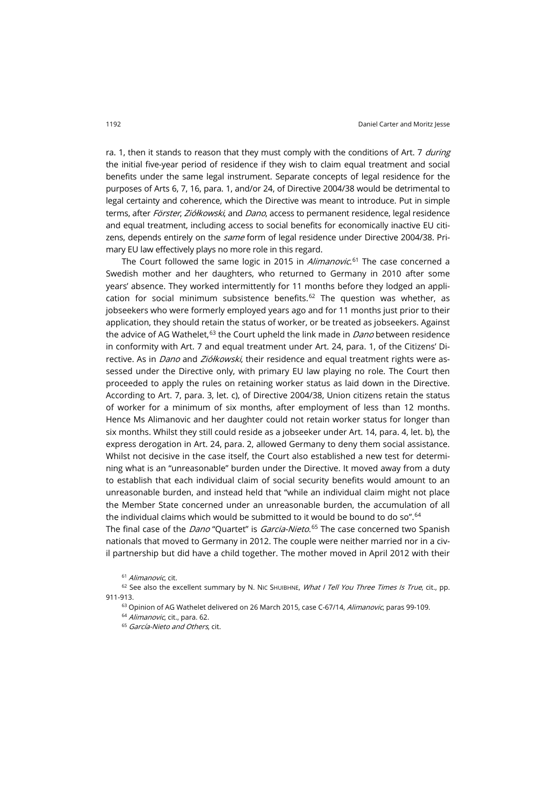ra. 1, then it stands to reason that they must comply with the conditions of Art. 7 *during* the initial five-year period of residence if they wish to claim equal treatment and social benefits under the same legal instrument. Separate concepts of legal residence for the purposes of Arts 6, 7, 16, para. 1, and/or 24, of Directive 2004/38 would be detrimental to legal certainty and coherence, which the Directive was meant to introduce. Put in simple terms, after Förster, Ziółkowski, and Dano, access to permanent residence, legal residence and equal treatment, including access to social benefits for economically inactive EU citizens, depends entirely on the *same* form of legal residence under Directive 2004/38. Primary EU law effectively plays no more role in this regard.

The Court followed the same logic in 2015 in *Alimanovic*.<sup>[61](#page-13-0)</sup> The case concerned a Swedish mother and her daughters, who returned to Germany in 2010 after some years' absence. They worked intermittently for 11 months before they lodged an application for social minimum subsistence benefits. $62$  The question was whether, as jobseekers who were formerly employed years ago and for 11 months just prior to their application, they should retain the status of worker, or be treated as jobseekers. Against the advice of AG Wathelet,<sup>[63](#page-13-2)</sup> the Court upheld the link made in *Dano* between residence in conformity with Art. 7 and equal treatment under Art. 24, para. 1, of the Citizens' Directive. As in *Dano* and *Ziółkowski*, their residence and equal treatment rights were assessed under the Directive only, with primary EU law playing no role. The Court then proceeded to apply the rules on retaining worker status as laid down in the Directive. According to Art. 7, para. 3, let. c), of Directive 2004/38, Union citizens retain the status of worker for a minimum of six months, after employment of less than 12 months. Hence Ms Alimanovic and her daughter could not retain worker status for longer than six months. Whilst they still could reside as a jobseeker under Art. 14, para. 4, let. b), the express derogation in Art. 24, para. 2, allowed Germany to deny them social assistance. Whilst not decisive in the case itself, the Court also established a new test for determining what is an "unreasonable" burden under the Directive. It moved away from a duty to establish that each individual claim of social security benefits would amount to an unreasonable burden, and instead held that "while an individual claim might not place the Member State concerned under an unreasonable burden, the accumulation of all the individual claims which would be submitted to it would be bound to do so".<sup>[64](#page-13-3)</sup>

The final case of the *Dano* "Quartet" is *Garcia-Nieto.*<sup>[65](#page-13-4)</sup> The case concerned two Spanish nationals that moved to Germany in 2012. The couple were neither married nor in a civil partnership but did have a child together. The mother moved in April 2012 with their

<sup>61</sup> Alimanovic, cit.

63 Opinion of AG Wathelet delivered on 26 March 2015, case C-67/14, Alimanovic, paras 99-109.

<sup>65</sup> García-Nieto and Others, cit.

<span id="page-13-4"></span><span id="page-13-3"></span><span id="page-13-2"></span><span id="page-13-1"></span><span id="page-13-0"></span> $62$  See also the excellent summary by N. NIC SHUIBHNE, What I Tell You Three Times Is True, cit., pp. 911-913.

<sup>&</sup>lt;sup>64</sup> Alimanovic, cit., para. 62.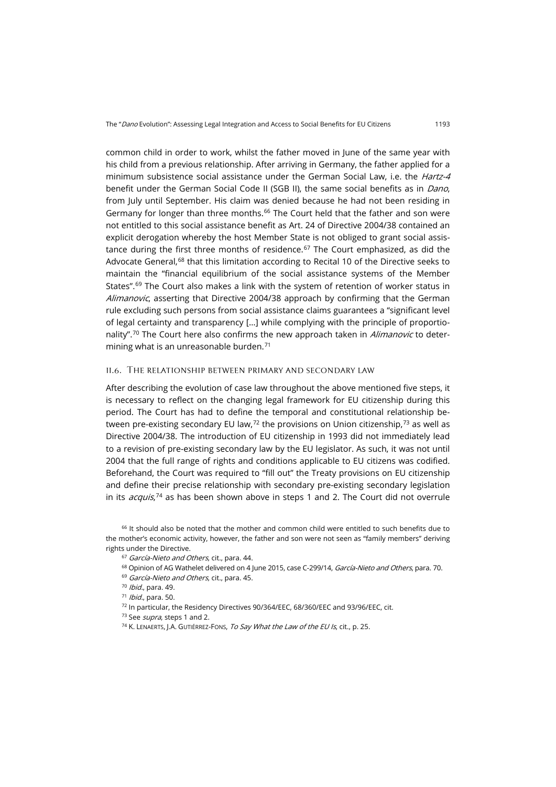common child in order to work, whilst the father moved in June of the same year with his child from a previous relationship. After arriving in Germany, the father applied for a minimum subsistence social assistance under the German Social Law, i.e. the Hartz-4 benefit under the German Social Code II (SGB II), the same social benefits as in *Dano*, from July until September. His claim was denied because he had not been residing in Germany for longer than three months. $66$  The Court held that the father and son were not entitled to this social assistance benefit as Art. 24 of Directive 2004/38 contained an explicit derogation whereby the host Member State is not obliged to grant social assistance during the first three months of residence. $67$  The Court emphasized, as did the Advocate General,<sup>[68](#page-14-2)</sup> that this limitation according to Recital 10 of the Directive seeks to maintain the "financial equilibrium of the social assistance systems of the Member States".<sup>[69](#page-14-3)</sup> The Court also makes a link with the system of retention of worker status in Alimanovic, asserting that Directive 2004/38 approach by confirming that the German rule excluding such persons from social assistance claims guarantees a "significant level of legal certainty and transparency […] while complying with the principle of proportio-nality".<sup>[70](#page-14-4)</sup> The Court here also confirms the new approach taken in *Alimanovic* to determining what is an unreasonable burden. $71$ 

#### ii.6. The relationship between primary and secondary law

After describing the evolution of case law throughout the above mentioned five steps, it is necessary to reflect on the changing legal framework for EU citizenship during this period. The Court has had to define the temporal and constitutional relationship be-tween pre-existing secondary EU law,<sup>[72](#page-14-6)</sup> the provisions on Union citizenship,<sup>[73](#page-14-7)</sup> as well as Directive 2004/38. The introduction of EU citizenship in 1993 did not immediately lead to a revision of pre-existing secondary law by the EU legislator. As such, it was not until 2004 that the full range of rights and conditions applicable to EU citizens was codified. Beforehand, the Court was required to "fill out" the Treaty provisions on EU citizenship and define their precise relationship with secondary pre-existing secondary legislation in its *acquis*,<sup>[74](#page-14-8)</sup> as has been shown above in steps 1 and 2. The Court did not overrule

<span id="page-14-4"></span><span id="page-14-3"></span><span id="page-14-2"></span><span id="page-14-1"></span><span id="page-14-0"></span><sup>66</sup> It should also be noted that the mother and common child were entitled to such benefits due to the mother's economic activity, however, the father and son were not seen as "family members" deriving rights under the Directive.

67 García-Nieto and Others, cit., para. 44.

68 Opinion of AG Wathelet delivered on 4 June 2015, case C-299/14, García-Nieto and Others, para. 70.

69 García-Nieto and Others, cit., para. 45.

<span id="page-14-5"></span><sup>71</sup> Ibid., para. 50.

<span id="page-14-6"></span><sup>72</sup> In particular, the Residency Directives 90/364/EEC, 68/360/EEC and 93/96/EEC, cit.

<span id="page-14-7"></span>73 See *supra*, steps 1 and 2.

<span id="page-14-8"></span><sup>74</sup> K. LENAERTS, J.A. GUTIÉRREZ-FONS, *To Say What the Law of the EU Is*, cit., p. 25.

<sup>70</sup> Ibid., para. 49.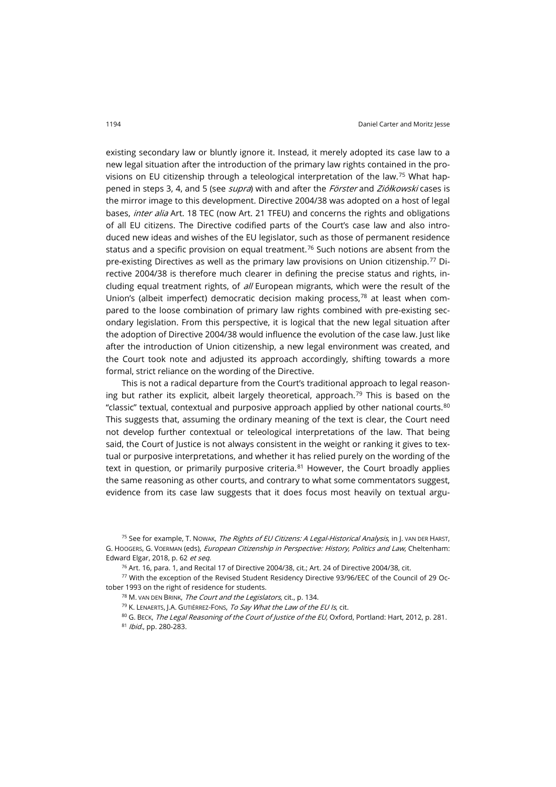existing secondary law or bluntly ignore it. Instead, it merely adopted its case law to a new legal situation after the introduction of the primary law rights contained in the provisions on EU citizenship through a teleological interpretation of the law.[75](#page-15-0) What happened in steps 3, 4, and 5 (see *supra*) with and after the *Förster* and *Ziółkowski* cases is the mirror image to this development. Directive 2004/38 was adopted on a host of legal bases, *inter alia* Art. 18 TEC (now Art. 21 TFEU) and concerns the rights and obligations of all EU citizens. The Directive codified parts of the Court's case law and also introduced new ideas and wishes of the EU legislator, such as those of permanent residence status and a specific provision on equal treatment.<sup>[76](#page-15-1)</sup> Such notions are absent from the pre-existing Directives as well as the primary law provisions on Union citizenship.<sup>[77](#page-15-2)</sup> Directive 2004/38 is therefore much clearer in defining the precise status and rights, including equal treatment rights, of  $d$ / European migrants, which were the result of the Union's (albeit imperfect) democratic decision making process, $78$  at least when compared to the loose combination of primary law rights combined with pre-existing secondary legislation. From this perspective, it is logical that the new legal situation after the adoption of Directive 2004/38 would influence the evolution of the case law. Just like after the introduction of Union citizenship, a new legal environment was created, and the Court took note and adjusted its approach accordingly, shifting towards a more formal, strict reliance on the wording of the Directive.

This is not a radical departure from the Court's traditional approach to legal reason-ing but rather its explicit, albeit largely theoretical, approach.<sup>[79](#page-15-4)</sup> This is based on the "classic" textual, contextual and purposive approach applied by other national courts. $80$ This suggests that, assuming the ordinary meaning of the text is clear, the Court need not develop further contextual or teleological interpretations of the law. That being said, the Court of Justice is not always consistent in the weight or ranking it gives to textual or purposive interpretations, and whether it has relied purely on the wording of the text in question, or primarily purposive criteria. $81$  However, the Court broadly applies the same reasoning as other courts, and contrary to what some commentators suggest, evidence from its case law suggests that it does focus most heavily on textual argu-

<span id="page-15-0"></span><sup>75</sup> See for example, T. Nowak, *The Rights of EU Citizens: A Legal-Historical Analysis*, in J. VAN DER HARST, G. HOOGERS, G. VOERMAN (eds), European Citizenship in Perspective: History, Politics and Law, Cheltenham: Edward Elgar, 2018, p. 62 et seq.

 $76$  Art. 16, para. 1, and Recital 17 of Directive 2004/38, cit.; Art. 24 of Directive 2004/38, cit.

<span id="page-15-6"></span><span id="page-15-5"></span><span id="page-15-4"></span><span id="page-15-3"></span><span id="page-15-2"></span><span id="page-15-1"></span><sup>77</sup> With the exception of the Revised Student Residency Directive 93/96/EEC of the Council of 29 October 1993 on the right of residence for students.

<sup>78</sup> M. VAN DEN BRINK, The Court and the Legislators, cit., p. 134.

 $^{79}$  K. LENAERTS, J.A. GUTIÉRREZ-FONS, To Say What the Law of the EU Is, cit.

80 G. BECK, The Legal Reasoning of the Court of Justice of the EU, Oxford, Portland: Hart, 2012, p. 281. 81 *Ibid.*, pp. 280-283.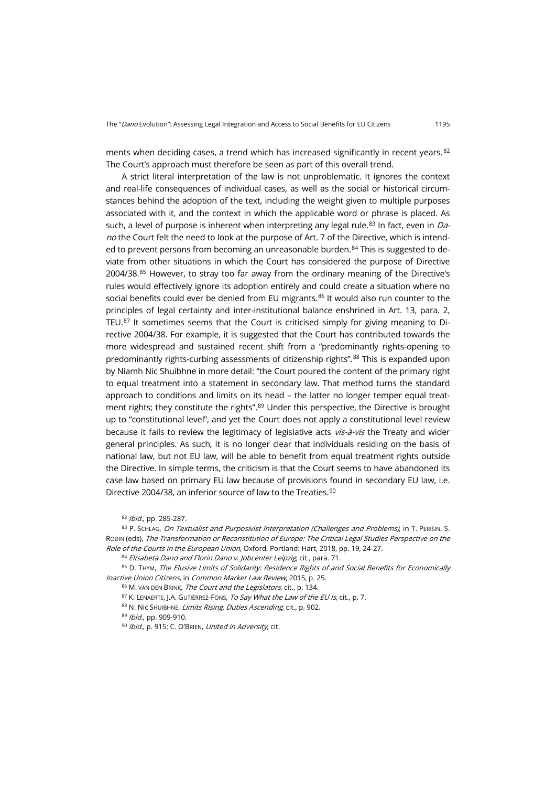ments when deciding cases, a trend which has increased significantly in recent years.<sup>[82](#page-16-0)</sup> The Court's approach must therefore be seen as part of this overall trend.

A strict literal interpretation of the law is not unproblematic. It ignores the context and real-life consequences of individual cases, as well as the social or historical circumstances behind the adoption of the text, including the weight given to multiple purposes associated with it, and the context in which the applicable word or phrase is placed. As such, a level of purpose is inherent when interpreting any legal rule.<sup>[83](#page-16-1)</sup> In fact, even in  $Da$ no the Court felt the need to look at the purpose of Art. 7 of the Directive, which is intend-ed to prevent persons from becoming an unreasonable burden.<sup>[84](#page-16-2)</sup> This is suggested to deviate from other situations in which the Court has considered the purpose of Directive 2004/38.[85](#page-16-3) However, to stray too far away from the ordinary meaning of the Directive's rules would effectively ignore its adoption entirely and could create a situation where no social benefits could ever be denied from EU migrants. $86$  It would also run counter to the principles of legal certainty and inter-institutional balance enshrined in Art. 13, para. 2, TEU.<sup>[87](#page-16-5)</sup> It sometimes seems that the Court is criticised simply for giving meaning to Directive 2004/38. For example, it is suggested that the Court has contributed towards the more widespread and sustained recent shift from a "predominantly rights-opening to predominantly rights-curbing assessments of citizenship rights".[88](#page-16-6) This is expanded upon by Niamh Nic Shuibhne in more detail: "the Court poured the content of the primary right to equal treatment into a statement in secondary law. That method turns the standard approach to conditions and limits on its head – the latter no longer temper equal treat-ment rights; they constitute the rights".<sup>[89](#page-16-7)</sup> Under this perspective, the Directive is brought up to "constitutional level", and yet the Court does not apply a constitutional level review because it fails to review the legitimacy of legislative acts  $v$ is- $\partial$ - $v$ is the Treaty and wider general principles. As such, it is no longer clear that individuals residing on the basis of national law, but not EU law, will be able to benefit from equal treatment rights outside the Directive. In simple terms, the criticism is that the Court seems to have abandoned its case law based on primary EU law because of provisions found in secondary EU law, i.e. Directive 2004/38, an inferior source of law to the Treaties.<sup>[90](#page-16-8)</sup>

82 Ibid., pp. 285-287.

<span id="page-16-1"></span><span id="page-16-0"></span>83 P. SCHLAG, On Textualist and Purposivist Interpretation (Challenges and Problems), in T. PERIŠIN, S. RODIN (eds), The Transformation or Reconstitution of Europe: The Critical Legal Studies Perspective on the Role of the Courts in the European Union, Oxford, Portland: Hart, 2018, pp. 19, 24-27.

84 Elisabeta Dano and Florin Dano v. Jobcenter Leipzig, cit., para. 71.

<span id="page-16-8"></span><span id="page-16-7"></span><span id="page-16-6"></span><span id="page-16-5"></span><span id="page-16-4"></span><span id="page-16-3"></span><span id="page-16-2"></span>85 D. THYM, The Elusive Limits of Solidarity: Residence Rights of and Social Benefits for Economically Inactive Union Citizens, in Common Market Law Review, 2015, p. 25.

86 M. VAN DEN BRINK, The Court and the Legislators, cit., p. 134.

 $87$  K. LENAERTS, J.A. GUTIÉRREZ-FONS, To Say What the Law of the EU Is, cit., p. 7.

88 N. Nic SHUIBHNE, Limits Rising, Duties Ascending, cit., p. 902.

89 Ibid., pp. 909-910.

90 Ibid., p. 915; C. O'BRIEN, United in Adversity, cit.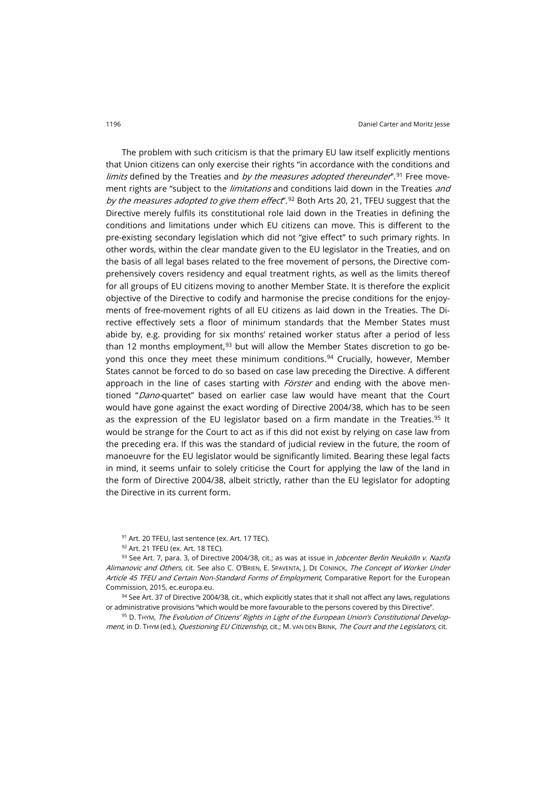The problem with such criticism is that the primary EU law itself explicitly mentions that Union citizens can only exercise their rights "in accordance with the conditions and *limits* defined by the Treaties and *by the measures adopted thereunder*".<sup>[91](#page-17-0)</sup> Free movement rights are "subject to the *limitations* and conditions laid down in the Treaties *and* by the measures adopted to give them effect". $92$  Both Arts 20, 21, TFEU suggest that the Directive merely fulfils its constitutional role laid down in the Treaties in defining the conditions and limitations under which EU citizens can move. This is different to the pre-existing secondary legislation which did not "give effect" to such primary rights. In other words, within the clear mandate given to the EU legislator in the Treaties, and on the basis of all legal bases related to the free movement of persons, the Directive comprehensively covers residency and equal treatment rights, as well as the limits thereof for all groups of EU citizens moving to another Member State. It is therefore the explicit objective of the Directive to codify and harmonise the precise conditions for the enjoyments of free-movement rights of all EU citizens as laid down in the Treaties. The Directive effectively sets a floor of minimum standards that the Member States must abide by, e.g. providing for six months' retained worker status after a period of less than 12 months employment.<sup>[93](#page-17-2)</sup> but will allow the Member States discretion to go be-yond this once they meet these minimum conditions.<sup>[94](#page-17-3)</sup> Crucially, however, Member States cannot be forced to do so based on case law preceding the Directive. A different approach in the line of cases starting with  $Förster$  and ending with the above mentioned "Dano-quartet" based on earlier case law would have meant that the Court would have gone against the exact wording of Directive 2004/38, which has to be seen as the expression of the EU legislator based on a firm mandate in the Treaties.<sup>[95](#page-17-4)</sup> It would be strange for the Court to act as if this did not exist by relying on case law from the preceding era. If this was the standard of judicial review in the future, the room of manoeuvre for the EU legislator would be significantly limited. Bearing these legal facts in mind, it seems unfair to solely criticise the Court for applying the law of the land in the form of Directive 2004/38, albeit strictly, rather than the EU legislator for adopting the Directive in its current form.

<sup>92</sup> Art. 21 TFEU (ex. Art. 18 TEC).

<span id="page-17-2"></span><span id="page-17-1"></span><span id="page-17-0"></span>93 See Art. 7, para. 3, of Directive 2004/38, cit.; as was at issue in *Jobcenter Berlin Neukölln v. Nazifa* Alimanovic and Others, cit. See also C. O'BRIEN, E. SPAVENTA, J. DE CONINCK, The Concept of Worker Under Article 45 TFEU and Certain Non-Standard Forms of Employment, Comparative Report for the European Commission, 2015[, ec.europa.eu.](http://www.ec.europa.eu/social/BlobServlet?docId=15476&langId=en)

<span id="page-17-3"></span> $94$  See Art. 37 of Directive 2004/38, cit., which explicitly states that it shall not affect any laws, regulations or administrative provisions "which would be more favourable to the persons covered by this Directive".

<span id="page-17-4"></span>95 D. THYM, The Evolution of Citizens' Rights in Light of the European Union's Constitutional Development, in D. THYM (ed.), Questioning EU Citizenship, cit.; M. VAN DEN BRINK, The Court and the Legislators, cit.

<sup>&</sup>lt;sup>91</sup> Art. 20 TFEU, last sentence (ex. Art. 17 TEC).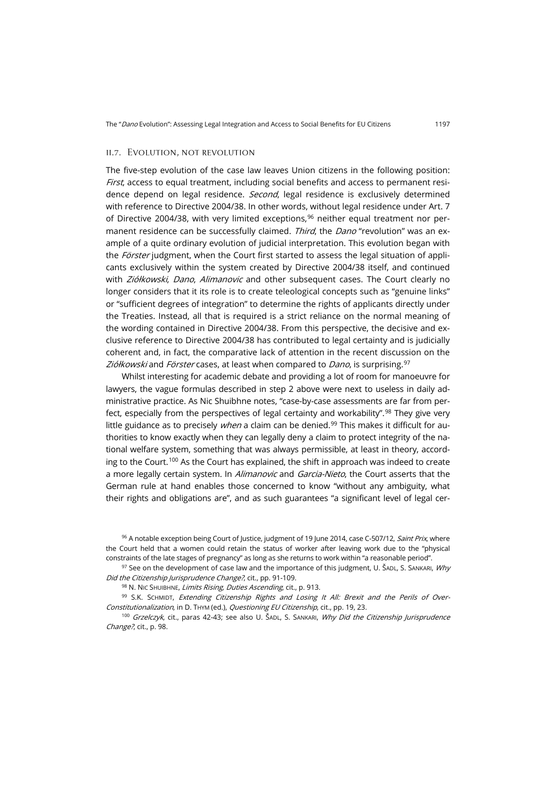#### ii.7. Evolution, not revolution

The five-step evolution of the case law leaves Union citizens in the following position: First, access to equal treatment, including social benefits and access to permanent residence depend on legal residence. *Second*, legal residence is exclusively determined with reference to Directive 2004/38. In other words, without legal residence under Art. 7 of Directive 2004/38, with very limited exceptions,<sup>[96](#page-18-0)</sup> neither equal treatment nor permanent residence can be successfully claimed. Third, the Dano "revolution" was an example of a quite ordinary evolution of judicial interpretation. This evolution began with the Förster judgment, when the Court first started to assess the legal situation of applicants exclusively within the system created by Directive 2004/38 itself, and continued with Ziółkowski, Dano, Alimanovic and other subsequent cases. The Court clearly no longer considers that it its role is to create teleological concepts such as "genuine links" or "sufficient degrees of integration" to determine the rights of applicants directly under the Treaties. Instead, all that is required is a strict reliance on the normal meaning of the wording contained in Directive 2004/38. From this perspective, the decisive and exclusive reference to Directive 2004/38 has contributed to legal certainty and is judicially coherent and, in fact, the comparative lack of attention in the recent discussion on the Ziółkowski and Förster cases, at least when compared to Dano, is surprising.<sup>[97](#page-18-1)</sup>

Whilst interesting for academic debate and providing a lot of room for manoeuvre for lawyers, the vague formulas described in step 2 above were next to useless in daily administrative practice. As Nic Shuibhne notes, "case-by-case assessments are far from per-fect, especially from the perspectives of legal certainty and workability".<sup>[98](#page-18-2)</sup> They give very little guidance as to precisely *when* a claim can be denied.<sup>[99](#page-18-3)</sup> This makes it difficult for authorities to know exactly when they can legally deny a claim to protect integrity of the national welfare system, something that was always permissible, at least in theory, accord-ing to the Court.<sup>[100](#page-18-4)</sup> As the Court has explained, the shift in approach was indeed to create a more legally certain system. In Alimanovic and Garcia-Nieto, the Court asserts that the German rule at hand enables those concerned to know "without any ambiguity, what their rights and obligations are", and as such guarantees "a significant level of legal cer-

<span id="page-18-0"></span>96 A notable exception being Court of Justice, judgment of 19 June 2014, case C-507/12, Saint Prix, where the Court held that a women could retain the status of worker after leaving work due to the "physical constraints of the late stages of pregnancy" as long as she returns to work within "a reasonable period".

<span id="page-18-1"></span> $97$  See on the development of case law and the importance of this judgment, U. ŠADL, S. SANKARI,  $Why$ Did the Citizenship Jurisprudence Change?, cit., pp. 91-109.

98 N. NIC SHUIBHNE, Limits Rising, Duties Ascending, cit., p. 913.

<span id="page-18-3"></span><span id="page-18-2"></span>99 S.K. SCHMIDT, Extending Citizenship Rights and Losing It All: Brexit and the Perils of Over-Constitutionalization, in D. THYM (ed.), Questioning EU Citizenship, cit., pp. 19, 23.

<span id="page-18-4"></span><sup>100</sup> Grzelczyk, cit., paras 42-43; see also U. ŠADL, S. SANKARI, Why Did the Citizenship Jurisprudence Change?, cit., p. 98.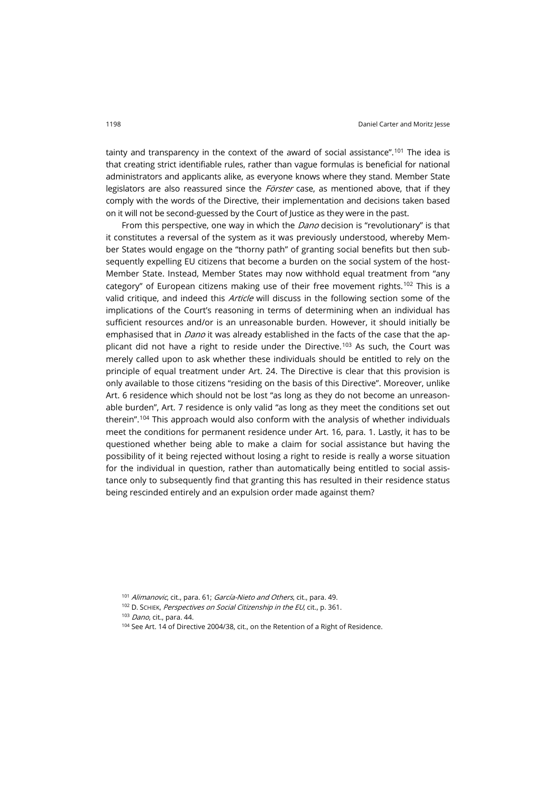tainty and transparency in the context of the award of social assistance".<sup>[101](#page-19-0)</sup> The idea is that creating strict identifiable rules, rather than vague formulas is beneficial for national administrators and applicants alike, as everyone knows where they stand. Member State legislators are also reassured since the *Förster* case, as mentioned above, that if they comply with the words of the Directive, their implementation and decisions taken based on it will not be second-guessed by the Court of Justice as they were in the past.

From this perspective, one way in which the *Dano* decision is "revolutionary" is that it constitutes a reversal of the system as it was previously understood, whereby Member States would engage on the "thorny path" of granting social benefits but then subsequently expelling EU citizens that become a burden on the social system of the host-Member State. Instead, Member States may now withhold equal treatment from "any category" of European citizens making use of their free movement rights.[102](#page-19-1) This is a valid critique, and indeed this Article will discuss in the following section some of the implications of the Court's reasoning in terms of determining when an individual has sufficient resources and/or is an unreasonable burden. However, it should initially be emphasised that in *Dano* it was already established in the facts of the case that the applicant did not have a right to reside under the Directive.[103](#page-19-2) As such, the Court was merely called upon to ask whether these individuals should be entitled to rely on the principle of equal treatment under Art. 24. The Directive is clear that this provision is only available to those citizens "residing on the basis of this Directive". Moreover, unlike Art. 6 residence which should not be lost "as long as they do not become an unreasonable burden", Art. 7 residence is only valid "as long as they meet the conditions set out therein".[104](#page-19-3) This approach would also conform with the analysis of whether individuals meet the conditions for permanent residence under Art. 16, para. 1. Lastly, it has to be questioned whether being able to make a claim for social assistance but having the possibility of it being rejected without losing a right to reside is really a worse situation for the individual in question, rather than automatically being entitled to social assistance only to subsequently find that granting this has resulted in their residence status being rescinded entirely and an expulsion order made against them?

<span id="page-19-0"></span><sup>&</sup>lt;sup>101</sup> Alimanovic, cit., para. 61; García-Nieto and Others, cit., para. 49.

<span id="page-19-1"></span><sup>102</sup> D. SCHIEK, Perspectives on Social Citizenship in the EU, cit., p. 361.

<span id="page-19-2"></span><sup>103</sup> Dano, cit., para. 44.

<span id="page-19-3"></span><sup>&</sup>lt;sup>104</sup> See Art. 14 of Directive 2004/38, cit., on the Retention of a Right of Residence.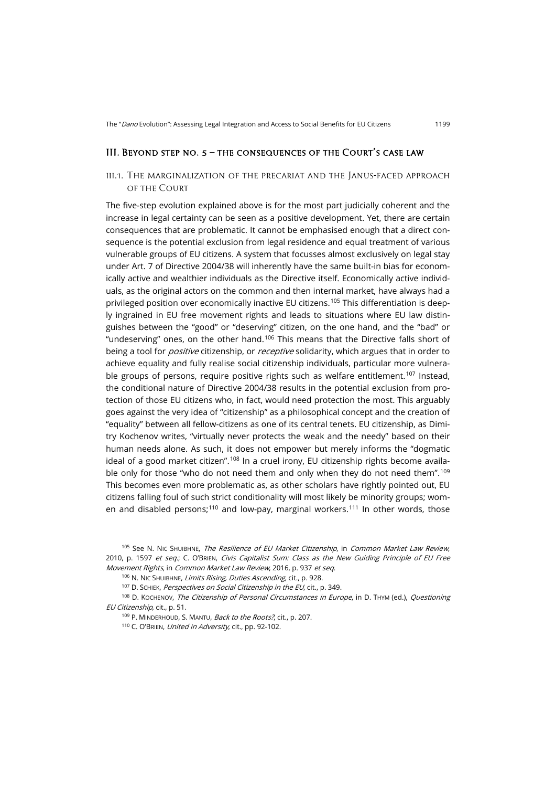### III. Beyond step no. 5 – the consequences of the Court's case law

## iii.1. The marginalization of the precariat and the Janus-faced approach of the Court

The five-step evolution explained above is for the most part judicially coherent and the increase in legal certainty can be seen as a positive development. Yet, there are certain consequences that are problematic. It cannot be emphasised enough that a direct consequence is the potential exclusion from legal residence and equal treatment of various vulnerable groups of EU citizens. A system that focusses almost exclusively on legal stay under Art. 7 of Directive 2004/38 will inherently have the same built-in bias for economically active and wealthier individuals as the Directive itself. Economically active individuals, as the original actors on the common and then internal market, have always had a privileged position over economically inactive EU citizens.[105](#page-20-0) This differentiation is deeply ingrained in EU free movement rights and leads to situations where EU law distinguishes between the "good" or "deserving" citizen, on the one hand, and the "bad" or "undeserving" ones, on the other hand.<sup>[106](#page-20-1)</sup> This means that the Directive falls short of being a tool for *positive* citizenship, or *receptive* solidarity, which argues that in order to achieve equality and fully realise social citizenship individuals, particular more vulnera-ble groups of persons, require positive rights such as welfare entitlement.<sup>[107](#page-20-2)</sup> Instead, the conditional nature of Directive 2004/38 results in the potential exclusion from protection of those EU citizens who, in fact, would need protection the most. This arguably goes against the very idea of "citizenship" as a philosophical concept and the creation of "equality" between all fellow-citizens as one of its central tenets. EU citizenship, as Dimitry Kochenov writes, "virtually never protects the weak and the needy" based on their human needs alone. As such, it does not empower but merely informs the "dogmatic ideal of a good market citizen".<sup>[108](#page-20-3)</sup> In a cruel irony, EU citizenship rights become available only for those "who do not need them and only when they do not need them".[109](#page-20-4) This becomes even more problematic as, as other scholars have rightly pointed out, EU citizens falling foul of such strict conditionality will most likely be minority groups; wom-en and disabled persons;<sup>[110](#page-20-5)</sup> and low-pay, marginal workers.<sup>[111](#page-20-6)</sup> In other words, those

<span id="page-20-6"></span><span id="page-20-0"></span><sup>105</sup> See N. NIC SHUIBHNE, The Resilience of EU Market Citizenship, in Common Market Law Review, 2010, p. 1597 et seq.; C. O'BRIEN, Civis Capitalist Sum: Class as the New Guiding Principle of EU Free Movement Rights, in Common Market Law Review, 2016, p. 937 et seq.

107 D. SCHIEK, Perspectives on Social Citizenship in the EU, cit., p. 349.

<span id="page-20-5"></span><span id="page-20-4"></span><span id="page-20-3"></span><span id="page-20-2"></span><span id="page-20-1"></span>108 D. KOCHENOV, The Citizenship of Personal Circumstances in Europe, in D. THYM (ed.), Questioning EU Citizenship, cit., p. 51.

109 P. MINDERHOUD, S. MANTU, Back to the Roots?, cit., p. 207.

110 C. O'BRIEN, United in Adversity, cit., pp. 92-102.

<sup>106</sup> N. NIC SHUIBHNE, Limits Rising, Duties Ascending, cit., p. 928.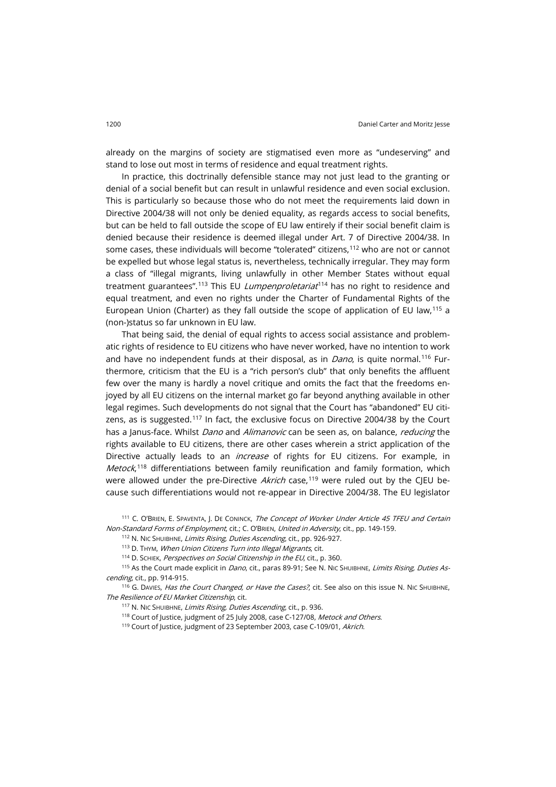already on the margins of society are stigmatised even more as "undeserving" and stand to lose out most in terms of residence and equal treatment rights.

In practice, this doctrinally defensible stance may not just lead to the granting or denial of a social benefit but can result in unlawful residence and even social exclusion. This is particularly so because those who do not meet the requirements laid down in Directive 2004/38 will not only be denied equality, as regards access to social benefits, but can be held to fall outside the scope of EU law entirely if their social benefit claim is denied because their residence is deemed illegal under Art. 7 of Directive 2004/38. In some cases, these individuals will become "tolerated" citizens,<sup>[112](#page-21-0)</sup> who are not or cannot be expelled but whose legal status is, nevertheless, technically irregular. They may form a class of "illegal migrants, living unlawfully in other Member States without equal treatment guarantees".<sup>[113](#page-21-1)</sup> This EU *Lumpenproletariat*<sup>[114](#page-21-2)</sup> has no right to residence and equal treatment, and even no rights under the Charter of Fundamental Rights of the European Union (Charter) as they fall outside the scope of application of EU law,<sup>[115](#page-21-3)</sup> a (non-)status so far unknown in EU law.

That being said, the denial of equal rights to access social assistance and problematic rights of residence to EU citizens who have never worked, have no intention to work and have no independent funds at their disposal, as in  $Dano$ , is quite normal.<sup>[116](#page-21-4)</sup> Furthermore, criticism that the EU is a "rich person's club" that only benefits the affluent few over the many is hardly a novel critique and omits the fact that the freedoms enjoyed by all EU citizens on the internal market go far beyond anything available in other legal regimes. Such developments do not signal that the Court has "abandoned" EU citizens, as is suggested.[117](#page-21-5) In fact, the exclusive focus on Directive 2004/38 by the Court has a Janus-face. Whilst *Dano* and *Alimanovic* can be seen as, on balance, *reducing* the rights available to EU citizens, there are other cases wherein a strict application of the Directive actually leads to an *increase* of rights for EU citizens. For example, in *Metock*,<sup>[118](#page-21-6)</sup> differentiations between family reunification and family formation, which were allowed under the pre-Directive Akrich case,<sup>[119](#page-21-7)</sup> were ruled out by the CJEU because such differentiations would not re-appear in Directive 2004/38. The EU legislator

<span id="page-21-0"></span>111 C. O'BRIEN, E. SPAVENTA, J. DE CONINCK, The Concept of Worker Under Article 45 TFEU and Certain Non-Standard Forms of Employment, cit.; C. O'BRIEN, United in Adversity, cit., pp. 149-159.

112 N. NIC SHUIBHNE, Limits Rising, Duties Ascending, cit., pp. 926-927.

113 D. THYM, When Union Citizens Turn into Illegal Migrants, cit.

114 D. SCHIEK, Perspectives on Social Citizenship in the EU, cit., p. 360.

<span id="page-21-3"></span><span id="page-21-2"></span><span id="page-21-1"></span>115 As the Court made explicit in Dano, cit., paras 89-91; See N. NIC SHUIBHNE, Limits Rising, Duties Ascending, cit., pp. 914-915.

<span id="page-21-7"></span><span id="page-21-6"></span><span id="page-21-5"></span><span id="page-21-4"></span>116 G. DAVIES, Has the Court Changed, or Have the Cases?, cit. See also on this issue N. NIC SHUIBHNE, The Resilience of EU Market Citizenship, cit.

117 N. NIC SHUIBHNE, Limits Rising, Duties Ascending, cit., p. 936.

<sup>118</sup> Court of Justice, judgment of 25 July 2008, case C-127/08, Metock and Others.

<sup>119</sup> Court of Justice, judgment of 23 September 2003, case C-109/01, Akrich.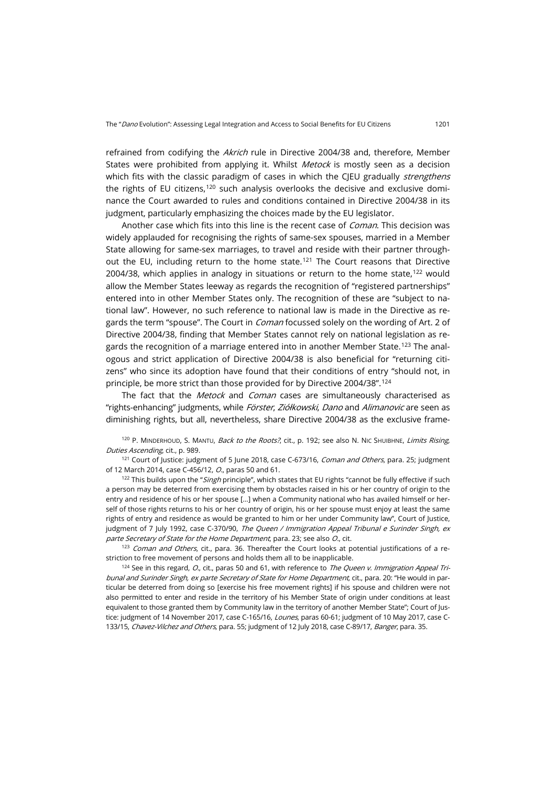refrained from codifying the Akrich rule in Directive 2004/38 and, therefore, Member States were prohibited from applying it. Whilst *Metock* is mostly seen as a decision which fits with the classic paradigm of cases in which the CJEU gradually *strengthens* the rights of EU citizens,<sup>[120](#page-22-0)</sup> such analysis overlooks the decisive and exclusive dominance the Court awarded to rules and conditions contained in Directive 2004/38 in its judgment, particularly emphasizing the choices made by the EU legislator.

Another case which fits into this line is the recent case of Coman. This decision was widely applauded for recognising the rights of same-sex spouses, married in a Member State allowing for same-sex marriages, to travel and reside with their partner through-out the EU, including return to the home state.<sup>[121](#page-22-1)</sup> The Court reasons that Directive 2004/38, which applies in analogy in situations or return to the home state,<sup>[122](#page-22-2)</sup> would allow the Member States leeway as regards the recognition of "registered partnerships" entered into in other Member States only. The recognition of these are "subject to national law". However, no such reference to national law is made in the Directive as regards the term "spouse". The Court in *Coman* focussed solely on the wording of Art. 2 of Directive 2004/38, finding that Member States cannot rely on national legislation as regards the recognition of a marriage entered into in another Member State.[123](#page-22-3) The analogous and strict application of Directive 2004/38 is also beneficial for "returning citizens" who since its adoption have found that their conditions of entry "should not, in principle, be more strict than those provided for by Directive 2004/38".[124](#page-22-4)

The fact that the *Metock* and *Coman* cases are simultaneously characterised as "rights-enhancing" judgments, while Förster, Ziółkowski, Dano and Alimanovic are seen as diminishing rights, but all, nevertheless, share Directive 2004/38 as the exclusive frame-

<span id="page-22-0"></span><sup>120</sup> P. MINDERHOUD, S. MANTU, *Back to the Roots?*, cit., p. 192; see also N. NIC SHUIBHNE, Limits Rising, Duties Ascending, cit., p. 989.

<span id="page-22-1"></span> $121$  Court of Justice: judgment of 5 June 2018, case C-673/16, *Coman and Others*, para. 25; judgment of 12 March 2014, case C-456/12, O., paras 50 and 61.

<span id="page-22-2"></span> $122$  This builds upon the "Singh principle", which states that EU rights "cannot be fully effective if such a person may be deterred from exercising them by obstacles raised in his or her country of origin to the entry and residence of his or her spouse […] when a Community national who has availed himself or herself of those rights returns to his or her country of origin, his or her spouse must enjoy at least the same rights of entry and residence as would be granted to him or her under Community law", Court of Justice, judgment of 7 July 1992, case C-370/90, The Queen / Immigration Appeal Tribunal e Surinder Singh, ex parte Secretary of State for the Home Department, para. 23; see also O., cit.

<span id="page-22-3"></span><sup>123</sup> Coman and Others, cit., para. 36. Thereafter the Court looks at potential justifications of a restriction to free movement of persons and holds them all to be inapplicable.

<span id="page-22-4"></span> $124$  See in this regard, O., cit., paras 50 and 61, with reference to The Queen v. Immigration Appeal Tribunal and Surinder Singh, ex parte Secretary of State for Home Department, cit., para. 20: "He would in particular be deterred from doing so [exercise his free movement rights] if his spouse and children were not also permitted to enter and reside in the territory of his Member State of origin under conditions at least equivalent to those granted them by Community law in the territory of another Member State"; Court of Justice: judgment of 14 November 2017, case C-165/16, Lounes, paras 60-61; judgment of 10 May 2017, case C-133/15, Chavez-Vilchez and Others, para. 55; judgment of 12 July 2018, case C-89/17, Banger, para. 35.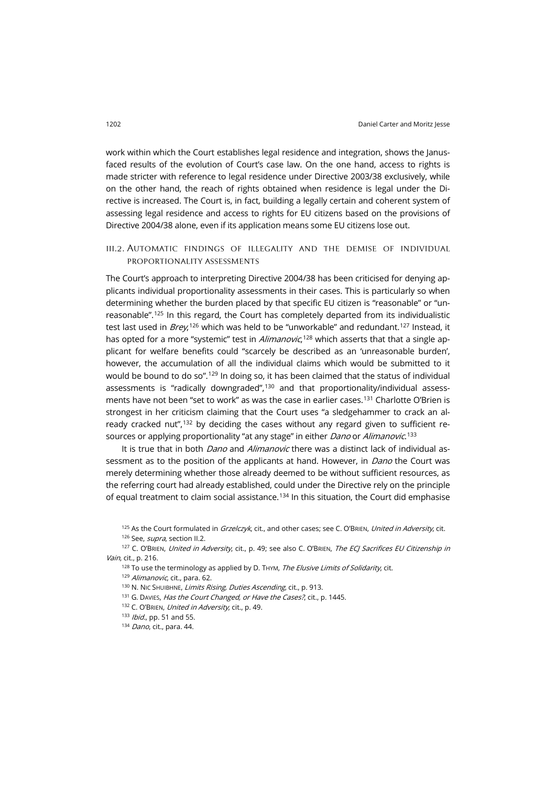work within which the Court establishes legal residence and integration, shows the Janusfaced results of the evolution of Court's case law. On the one hand, access to rights is made stricter with reference to legal residence under Directive 2003/38 exclusively, while on the other hand, the reach of rights obtained when residence is legal under the Directive is increased. The Court is, in fact, building a legally certain and coherent system of assessing legal residence and access to rights for EU citizens based on the provisions of Directive 2004/38 alone, even if its application means some EU citizens lose out.

### iii.2. Automatic findings of illegality and the demise of individual proportionality assessments

The Court's approach to interpreting Directive 2004/38 has been criticised for denying applicants individual proportionality assessments in their cases. This is particularly so when determining whether the burden placed by that specific EU citizen is "reasonable" or "unreasonable".[125](#page-23-0) In this regard, the Court has completely departed from its individualistic test last used in *Brey*,<sup>[126](#page-23-1)</sup> which was held to be "unworkable" and redundant.<sup>[127](#page-23-2)</sup> Instead, it has opted for a more "systemic" test in *Alimanovic*,<sup>[128](#page-23-3)</sup> which asserts that that a single applicant for welfare benefits could "scarcely be described as an 'unreasonable burden', however, the accumulation of all the individual claims which would be submitted to it would be bound to do so".[129](#page-23-4) In doing so, it has been claimed that the status of individual assessments is "radically downgraded",<sup>[130](#page-23-5)</sup> and that proportionality/individual assess-ments have not been "set to work" as was the case in earlier cases.<sup>[131](#page-23-6)</sup> Charlotte O'Brien is strongest in her criticism claiming that the Court uses "a sledgehammer to crack an already cracked nut", $132$  by deciding the cases without any regard given to sufficient resources or applying proportionality "at any stage" in either *Dano* or *Alimanovic*.<sup>[133](#page-23-8)</sup>

It is true that in both *Dano* and *Alimanovic* there was a distinct lack of individual assessment as to the position of the applicants at hand. However, in *Dano* the Court was merely determining whether those already deemed to be without sufficient resources, as the referring court had already established, could under the Directive rely on the principle of equal treatment to claim social assistance.<sup>[134](#page-23-9)</sup> In this situation, the Court did emphasise

<sup>125</sup> As the Court formulated in *Grzelczyk*, cit., and other cases; see C. O'BRIEN, United in Adversity, cit.

<sup>126</sup> See, *supra*, section II.2.

<span id="page-23-6"></span><span id="page-23-5"></span><span id="page-23-4"></span><span id="page-23-3"></span><span id="page-23-2"></span><span id="page-23-1"></span><span id="page-23-0"></span>127 C. O'BRIEN, United in Adversity, cit., p. 49; see also C. O'BRIEN, The ECJ Sacrifices EU Citizenship in Vain, cit., p. 216.

- $128$  To use the terminology as applied by D. THYM, The Elusive Limits of Solidarity, cit.
- 129 Alimanovic, cit., para. 62.

130 N. NIC SHUIBHNE, Limits Rising, Duties Ascending, cit., p. 913.

<sup>131</sup> G. DAVIES, *Has the Court Changed, or Have the Cases?*, cit., p. 1445.

<span id="page-23-7"></span>132 C. O'BRIEN, United in Adversity, cit., p. 49.

<span id="page-23-8"></span><sup>133</sup> *Ibid.*, pp. 51 and 55.

<span id="page-23-9"></span><sup>134</sup> Dano, cit., para. 44.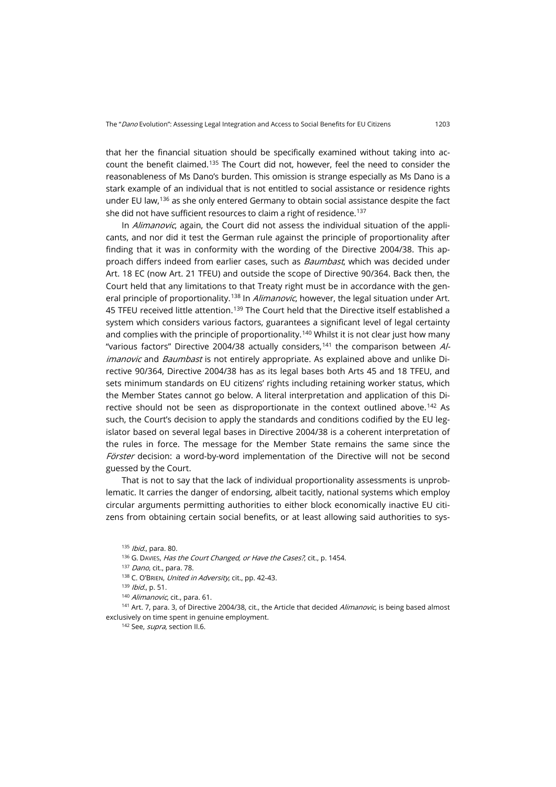that her the financial situation should be specifically examined without taking into account the benefit claimed.[135](#page-24-0) The Court did not, however, feel the need to consider the reasonableness of Ms Dano's burden. This omission is strange especially as Ms Dano is a stark example of an individual that is not entitled to social assistance or residence rights under EU law[,136](#page-24-1) as she only entered Germany to obtain social assistance despite the fact she did not have sufficient resources to claim a right of residence.<sup>[137](#page-24-2)</sup>

In *Alimanovic*, again, the Court did not assess the individual situation of the applicants, and nor did it test the German rule against the principle of proportionality after finding that it was in conformity with the wording of the Directive 2004/38. This approach differs indeed from earlier cases, such as *Baumbast*, which was decided under Art. 18 EC (now Art. 21 TFEU) and outside the scope of Directive 90/364. Back then, the Court held that any limitations to that Treaty right must be in accordance with the gen-eral principle of proportionality.<sup>[138](#page-24-3)</sup> In *Alimanovic*, however, the legal situation under Art. 45 TFEU received little attention.<sup>[139](#page-24-4)</sup> The Court held that the Directive itself established a system which considers various factors, guarantees a significant level of legal certainty and complies with the principle of proportionality.<sup>[140](#page-24-5)</sup> Whilst it is not clear just how many "various factors" Directive 2004/38 actually considers,<sup>[141](#page-24-6)</sup> the comparison between  $A$ imanovic and Baumbast is not entirely appropriate. As explained above and unlike Directive 90/364, Directive 2004/38 has as its legal bases both Arts 45 and 18 TFEU, and sets minimum standards on EU citizens' rights including retaining worker status, which the Member States cannot go below. A literal interpretation and application of this Di-rective should not be seen as disproportionate in the context outlined above.<sup>[142](#page-24-7)</sup> As such, the Court's decision to apply the standards and conditions codified by the EU legislator based on several legal bases in Directive 2004/38 is a coherent interpretation of the rules in force. The message for the Member State remains the same since the Förster decision: a word-by-word implementation of the Directive will not be second guessed by the Court.

That is not to say that the lack of individual proportionality assessments is unproblematic. It carries the danger of endorsing, albeit tacitly, national systems which employ circular arguments permitting authorities to either block economically inactive EU citizens from obtaining certain social benefits, or at least allowing said authorities to sys-

- 139 *Ibid.*, p. 51.
- 140 Alimanovic, cit., para. 61.

<span id="page-24-7"></span><span id="page-24-6"></span><span id="page-24-5"></span><span id="page-24-4"></span><span id="page-24-3"></span><span id="page-24-2"></span><span id="page-24-1"></span><sup>141</sup> Art. 7, para. 3, of Directive 2004/38, cit., the Article that decided Alimanovic, is being based almost exclusively on time spent in genuine employment.

142 See, *supra*, section II.6.

<span id="page-24-0"></span><sup>135</sup> *Ibid.*, para. 80.

<sup>136</sup> G. DAVIES, Has the Court Changed, or Have the Cases?, cit., p. 1454.

<sup>137</sup> Dano, cit., para. 78.

<sup>138</sup> C. O'BRIEN, United in Adversity, cit., pp. 42-43.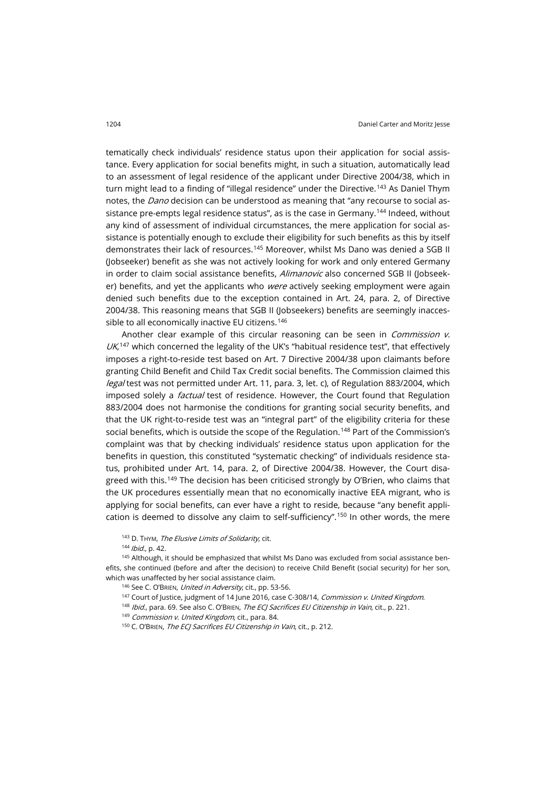tematically check individuals' residence status upon their application for social assistance. Every application for social benefits might, in such a situation, automatically lead to an assessment of legal residence of the applicant under Directive 2004/38, which in turn might lead to a finding of "illegal residence" under the Directive.<sup>[143](#page-25-0)</sup> As Daniel Thym notes, the Dano decision can be understood as meaning that "any recourse to social assistance pre-empts legal residence status", as is the case in Germany.[144](#page-25-1) Indeed, without any kind of assessment of individual circumstances, the mere application for social assistance is potentially enough to exclude their eligibility for such benefits as this by itself demonstrates their lack of resources.[145](#page-25-2) Moreover, whilst Ms Dano was denied a SGB II (Jobseeker) benefit as she was not actively looking for work and only entered Germany in order to claim social assistance benefits, Alimanovic also concerned SGB II (Jobseeker) benefits, and yet the applicants who *were* actively seeking employment were again denied such benefits due to the exception contained in Art. 24, para. 2, of Directive 2004/38. This reasoning means that SGB II (Jobseekers) benefits are seemingly inacces-sible to all economically inactive EU citizens.<sup>[146](#page-25-3)</sup>

Another clear example of this circular reasoning can be seen in *Commission v.*  $\mathcal{UK}^{147}$  $\mathcal{UK}^{147}$  $\mathcal{UK}^{147}$  which concerned the legality of the UK's "habitual residence test", that effectively imposes a right-to-reside test based on Art. 7 Directive 2004/38 upon claimants before granting Child Benefit and Child Tax Credit social benefits. The Commission claimed this legal test was not permitted under Art. 11, para. 3, let. c), of Regulation 883/2004, which imposed solely a factual test of residence. However, the Court found that Regulation 883/2004 does not harmonise the conditions for granting social security benefits, and that the UK right-to-reside test was an "integral part" of the eligibility criteria for these social benefits, which is outside the scope of the Regulation.<sup>[148](#page-25-5)</sup> Part of the Commission's complaint was that by checking individuals' residence status upon application for the benefits in question, this constituted "systematic checking" of individuals residence status, prohibited under Art. 14, para. 2, of Directive 2004/38. However, the Court disa-greed with this.<sup>[149](#page-25-6)</sup> The decision has been criticised strongly by O'Brien, who claims that the UK procedures essentially mean that no economically inactive EEA migrant, who is applying for social benefits, can ever have a right to reside, because "any benefit appli-cation is deemed to dissolve any claim to self-sufficiency".<sup>[150](#page-25-7)</sup> In other words, the mere

143 D. THYM, The Elusive Limits of Solidarity, cit.

144 *Ibid.*, p. 42.

<span id="page-25-6"></span><span id="page-25-5"></span><span id="page-25-4"></span><span id="page-25-3"></span><span id="page-25-2"></span><span id="page-25-1"></span><span id="page-25-0"></span><sup>145</sup> Although, it should be emphasized that whilst Ms Dano was excluded from social assistance benefits, she continued (before and after the decision) to receive Child Benefit (social security) for her son, which was unaffected by her social assistance claim.

146 See C. O'BRIEN, United in Adversity, cit., pp. 53-56.

<sup>147</sup> Court of Justice, judgment of 14 June 2016, case C-308/14, Commission v. United Kingdom.

148 Ibid., para. 69. See also C. O'BRIEN, The ECJ Sacrifices EU Citizenship in Vain, cit., p. 221.

149 Commission v. United Kingdom, cit., para. 84.

<span id="page-25-7"></span>150 C. O'BRIEN, The ECJ Sacrifices EU Citizenship in Vain, cit., p. 212.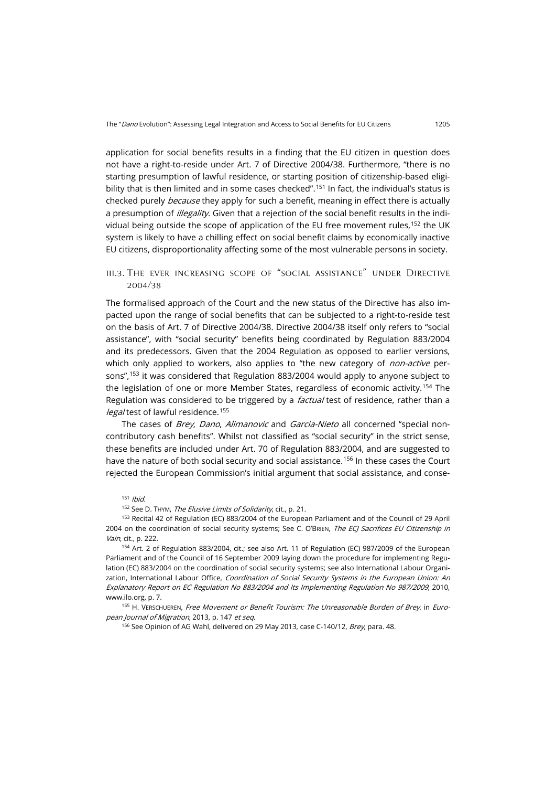application for social benefits results in a finding that the EU citizen in question does not have a right-to-reside under Art. 7 of Directive 2004/38. Furthermore, "there is no starting presumption of lawful residence, or starting position of citizenship-based eligi-bilitv that is then limited and in some cases checked".<sup>[151](#page-26-0)</sup> In fact, the individual's status is checked purely *because* they apply for such a benefit, meaning in effect there is actually a presumption of *illegality*. Given that a rejection of the social benefit results in the indi-vidual being outside the scope of application of the EU free movement rules,<sup>[152](#page-26-1)</sup> the UK system is likely to have a chilling effect on social benefit claims by economically inactive EU citizens, disproportionality affecting some of the most vulnerable persons in society.

## iii.3. The ever increasing scope of "social assistance" under Directive 2004/38

The formalised approach of the Court and the new status of the Directive has also impacted upon the range of social benefits that can be subjected to a right-to-reside test on the basis of Art. 7 of Directive 2004/38. Directive 2004/38 itself only refers to "social assistance", with "social security" benefits being coordinated by Regulation 883/2004 and its predecessors. Given that the 2004 Regulation as opposed to earlier versions, which only applied to workers, also applies to "the new category of *non-active* persons",[153](#page-26-2) it was considered that Regulation 883/2004 would apply to anyone subject to the legislation of one or more Member States, regardless of economic activity.[154](#page-26-3) The Regulation was considered to be triggered by a *factual* test of residence, rather than a legal test of lawful residence.<sup>[155](#page-26-4)</sup>

The cases of Brey, Dano, Alimanovic and Garcia-Nieto all concerned "special noncontributory cash benefits". Whilst not classified as "social security" in the strict sense, these benefits are included under Art. 70 of Regulation 883/2004, and are suggested to have the nature of both social security and social assistance.<sup>[156](#page-26-5)</sup> In these cases the Court rejected the European Commission's initial argument that social assistance, and conse-

151 Ibid.

152 See D. THYM, The Elusive Limits of Solidarity, cit., p. 21.

<span id="page-26-2"></span><span id="page-26-1"></span><span id="page-26-0"></span><sup>153</sup> Recital 42 of Regulation (EC) 883/2004 of the European Parliament and of the Council of 29 April 2004 on the coordination of social security systems; See C. O'BRIEN, The ECJ Sacrifices EU Citizenship in Vain, cit., p. 222.

<span id="page-26-3"></span><sup>154</sup> Art. 2 of Regulation 883/2004, cit.; see also Art. 11 of Regulation (EC) 987/2009 of the European Parliament and of the Council of 16 September 2009 laying down the procedure for implementing Regulation (EC) 883/2004 on the coordination of social security systems; see also International Labour Organization, International Labour Office, Coordination of Social Security Systems in the European Union: An Explanatory Report on EC Regulation No 883/2004 and Its Implementing Regulation No 987/2009, 2010, [www.ilo.org,](https://www.ilo.org/wcmsp5/groups/public/---europe/---ro-geneva/---sro-budapest/documents/publication/wcms_166995.pdf) p. 7.

<span id="page-26-5"></span><span id="page-26-4"></span>155 H. VERSCHUEREN, Free Movement or Benefit Tourism: The Unreasonable Burden of Brey, in European Journal of Migration, 2013, p. 147 et seq.

<sup>156</sup> See Opinion of AG Wahl, delivered on 29 May 2013, case C-140/12, *Brey*, para. 48.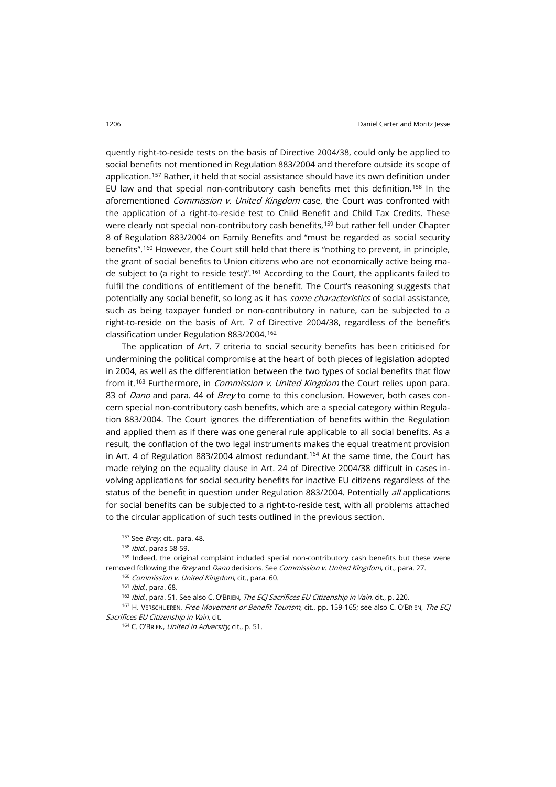quently right-to-reside tests on the basis of Directive 2004/38, could only be applied to social benefits not mentioned in Regulation 883/2004 and therefore outside its scope of application.[157](#page-27-0) Rather, it held that social assistance should have its own definition under EU law and that special non-contributory cash benefits met this definition.<sup>[158](#page-27-1)</sup> In the aforementioned *Commission v. United Kingdom* case, the Court was confronted with the application of a right-to-reside test to Child Benefit and Child Tax Credits. These were clearly not special non-contributory cash benefits,<sup>[159](#page-27-2)</sup> but rather fell under Chapter 8 of Regulation 883/2004 on Family Benefits and "must be regarded as social security benefits".<sup>[160](#page-27-3)</sup> However, the Court still held that there is "nothing to prevent, in principle, the grant of social benefits to Union citizens who are not economically active being ma-de subject to (a right to reside test)".<sup>[161](#page-27-4)</sup> According to the Court, the applicants failed to fulfil the conditions of entitlement of the benefit. The Court's reasoning suggests that potentially any social benefit, so long as it has *some characteristics* of social assistance, such as being taxpayer funded or non-contributory in nature, can be subjected to a right-to-reside on the basis of Art. 7 of Directive 2004/38, regardless of the benefit's classification under Regulation 883/2004.[162](#page-27-5)

The application of Art. 7 criteria to social security benefits has been criticised for undermining the political compromise at the heart of both pieces of legislation adopted in 2004, as well as the differentiation between the two types of social benefits that flow from it.<sup>[163](#page-27-6)</sup> Furthermore, in *Commission v. United Kingdom* the Court relies upon para. 83 of *Dano* and para. 44 of *Brey* to come to this conclusion. However, both cases concern special non-contributory cash benefits, which are a special category within Regulation 883/2004. The Court ignores the differentiation of benefits within the Regulation and applied them as if there was one general rule applicable to all social benefits. As a result, the conflation of the two legal instruments makes the equal treatment provision in Art. 4 of Regulation 883/2004 almost redundant.<sup>[164](#page-27-7)</sup> At the same time, the Court has made relying on the equality clause in Art. 24 of Directive 2004/38 difficult in cases involving applications for social security benefits for inactive EU citizens regardless of the status of the benefit in question under Regulation 883/2004. Potentially *all* applications for social benefits can be subjected to a right-to-reside test, with all problems attached to the circular application of such tests outlined in the previous section.

157 See Brey, cit., para. 48.

158 *Ibid.*, paras 58-59.

<span id="page-27-3"></span><span id="page-27-2"></span><span id="page-27-1"></span><span id="page-27-0"></span><sup>159</sup> Indeed, the original complaint included special non-contributory cash benefits but these were removed following the Brey and Dano decisions. See Commission v. United Kingdom, cit., para. 27.

160 Commission v. United Kingdom, cit., para. 60.

161 *Ibid.*, para. 68.

162 Ibid., para. 51. See also C. O'BRIEN, The ECJ Sacrifices EU Citizenship in Vain, cit., p. 220.

<span id="page-27-7"></span><span id="page-27-6"></span><span id="page-27-5"></span><span id="page-27-4"></span>163 H. VERSCHUEREN, Free Movement or Benefit Tourism, cit., pp. 159-165; see also C. O'BRIEN, The ECJ Sacrifices EU Citizenship in Vain, cit.

164 C. O'BRIEN, United in Adversity, cit., p. 51.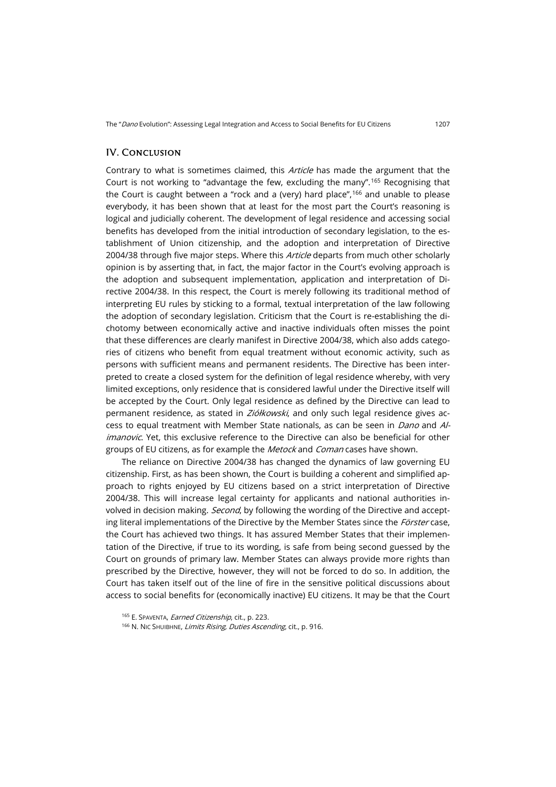## IV. Conclusion

Contrary to what is sometimes claimed, this Article has made the argument that the Court is not working to "advantage the few, excluding the many".<sup>[165](#page-28-0)</sup> Recognising that the Court is caught between a "rock and a (very) hard place",  $166$  and unable to please everybody, it has been shown that at least for the most part the Court's reasoning is logical and judicially coherent. The development of legal residence and accessing social benefits has developed from the initial introduction of secondary legislation, to the establishment of Union citizenship, and the adoption and interpretation of Directive 2004/38 through five major steps. Where this Article departs from much other scholarly opinion is by asserting that, in fact, the major factor in the Court's evolving approach is the adoption and subsequent implementation, application and interpretation of Directive 2004/38. In this respect, the Court is merely following its traditional method of interpreting EU rules by sticking to a formal, textual interpretation of the law following the adoption of secondary legislation. Criticism that the Court is re-establishing the dichotomy between economically active and inactive individuals often misses the point that these differences are clearly manifest in Directive 2004/38, which also adds categories of citizens who benefit from equal treatment without economic activity, such as persons with sufficient means and permanent residents. The Directive has been interpreted to create a closed system for the definition of legal residence whereby, with very limited exceptions, only residence that is considered lawful under the Directive itself will be accepted by the Court. Only legal residence as defined by the Directive can lead to permanent residence, as stated in Ziółkowski, and only such legal residence gives access to equal treatment with Member State nationals, as can be seen in *Dano* and Alimanovic. Yet, this exclusive reference to the Directive can also be beneficial for other groups of EU citizens, as for example the *Metock* and *Coman* cases have shown.

The reliance on Directive 2004/38 has changed the dynamics of law governing EU citizenship. First, as has been shown, the Court is building a coherent and simplified approach to rights enjoyed by EU citizens based on a strict interpretation of Directive 2004/38. This will increase legal certainty for applicants and national authorities involved in decision making. *Second*, by following the wording of the Directive and accepting literal implementations of the Directive by the Member States since the Förster case, the Court has achieved two things. It has assured Member States that their implementation of the Directive, if true to its wording, is safe from being second guessed by the Court on grounds of primary law. Member States can always provide more rights than prescribed by the Directive, however, they will not be forced to do so. In addition, the Court has taken itself out of the line of fire in the sensitive political discussions about access to social benefits for (economically inactive) EU citizens. It may be that the Court

<span id="page-28-1"></span><span id="page-28-0"></span><sup>165</sup> E. SPAVENTA, *Earned Citizenship*, cit., p. 223.

<sup>166</sup> N. NIC SHUIBHNE, Limits Rising, Duties Ascending, cit., p. 916.